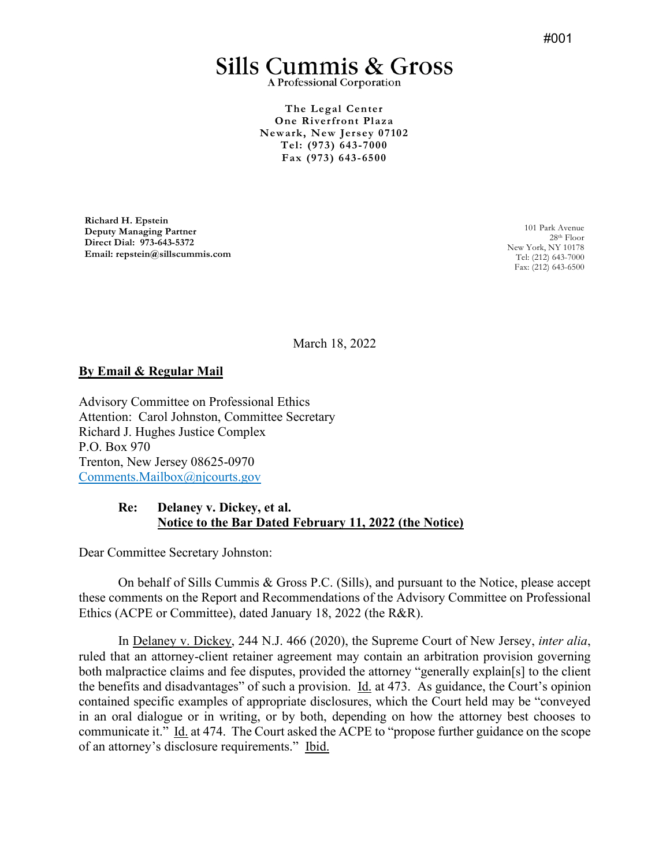# **Sills Cummis & Gross**

A Professional Corporation

**The Legal Center One Riverfront Plaza Newark, New Jersey 07102 Tel: (973) 643-7000 Fax (973) 643-6500** 

**Richard H. Epstein Deputy Managing Partner Direct Dial: 973-643-5372 Email: repstein@sillscummis.com** 

101 Park Avenue 28th Floor New York, NY 10178 Tel: (212) 643-7000 Fax: (212) 643-6500

March 18, 2022

### **By Email & Regular Mail**

Advisory Committee on Professional Ethics Attention: Carol Johnston, Committee Secretary Richard J. Hughes Justice Complex P.O. Box 970 Trenton, New Jersey 08625-0970 [Comments.Mailbox@njcourts.gov](mailto:Comments.Mailbox@njcourts.gov) 

### **Re: Delaney v. Dickey, et al. Notice to the Bar Dated February 11, 2022 (the Notice)**

Dear Committee Secretary Johnston:

On behalf of Sills Cummis & Gross P.C. (Sills), and pursuant to the Notice, please accept these comments on the Report and Recommendations of the Advisory Committee on Professional Ethics (ACPE or Committee), dated January 18, 2022 (the R&R).

In Delaney v. Dickey, 244 N.J. 466 (2020), the Supreme Court of New Jersey, *inter alia*, ruled that an attorney-client retainer agreement may contain an arbitration provision governing both malpractice claims and fee disputes, provided the attorney "generally explain[s] to the client the benefits and disadvantages" of such a provision. Id. at 473. As guidance, the Court's opinion contained specific examples of appropriate disclosures, which the Court held may be "conveyed in an oral dialogue or in writing, or by both, depending on how the attorney best chooses to communicate it." Id. at 474. The Court asked the ACPE to "propose further guidance on the scope of an attorney's disclosure requirements." Ibid.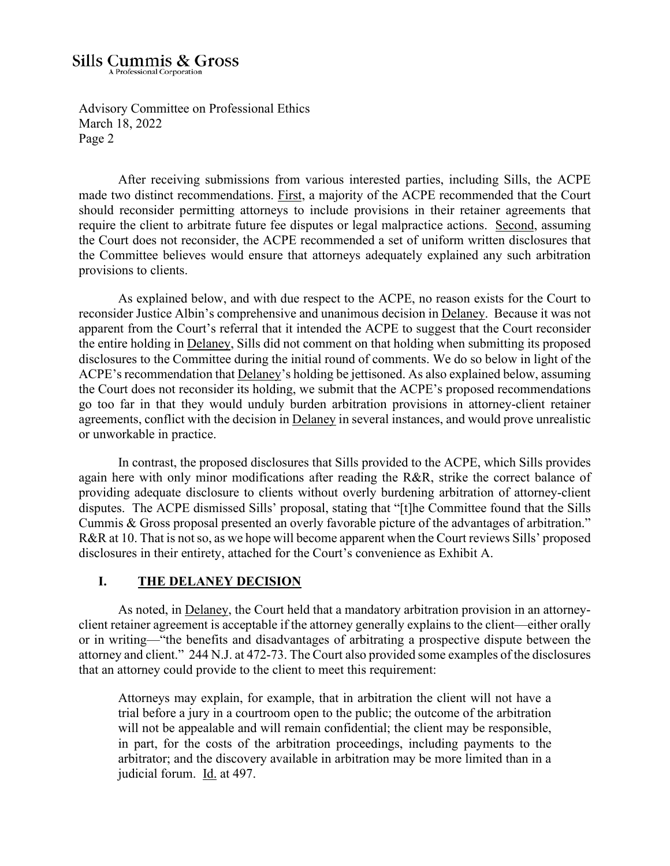Page 2

Advisory Committee on Professional Ethics March 18, 2022

After receiving submissions from various interested parties, including Sills, the ACPE made two distinct recommendations. First, a majority of the ACPE recommended that the Court should reconsider permitting attorneys to include provisions in their retainer agreements that require the client to arbitrate future fee disputes or legal malpractice actions. Second, assuming the Court does not reconsider, the ACPE recommended a set of uniform written disclosures that the Committee believes would ensure that attorneys adequately explained any such arbitration provisions to clients.

As explained below, and with due respect to the ACPE, no reason exists for the Court to reconsider Justice Albin's comprehensive and unanimous decision in Delaney. Because it was not apparent from the Court's referral that it intended the ACPE to suggest that the Court reconsider the entire holding in Delaney, Sills did not comment on that holding when submitting its proposed disclosures to the Committee during the initial round of comments. We do so below in light of the ACPE's recommendation that Delaney's holding be jettisoned. As also explained below, assuming the Court does not reconsider its holding, we submit that the ACPE's proposed recommendations go too far in that they would unduly burden arbitration provisions in attorney-client retainer agreements, conflict with the decision in Delaney in several instances, and would prove unrealistic or unworkable in practice.

In contrast, the proposed disclosures that Sills provided to the ACPE, which Sills provides again here with only minor modifications after reading the R&R, strike the correct balance of providing adequate disclosure to clients without overly burdening arbitration of attorney-client disputes. The ACPE dismissed Sills' proposal, stating that "[t]he Committee found that the Sills Cummis & Gross proposal presented an overly favorable picture of the advantages of arbitration." R&R at 10. That is not so, as we hope will become apparent when the Court reviews Sills' proposed disclosures in their entirety, attached for the Court's convenience as Exhibit A.

### **I. THE DELANEY DECISION**

As noted, in Delaney, the Court held that a mandatory arbitration provision in an attorneyclient retainer agreement is acceptable if the attorney generally explains to the client—either orally or in writing—"the benefits and disadvantages of arbitrating a prospective dispute between the attorney and client." 244 N.J. at 472-73. The Court also provided some examples of the disclosures that an attorney could provide to the client to meet this requirement:

Attorneys may explain, for example, that in arbitration the client will not have a trial before a jury in a courtroom open to the public; the outcome of the arbitration will not be appealable and will remain confidential; the client may be responsible, in part, for the costs of the arbitration proceedings, including payments to the arbitrator; and the discovery available in arbitration may be more limited than in a judicial forum. Id. at 497.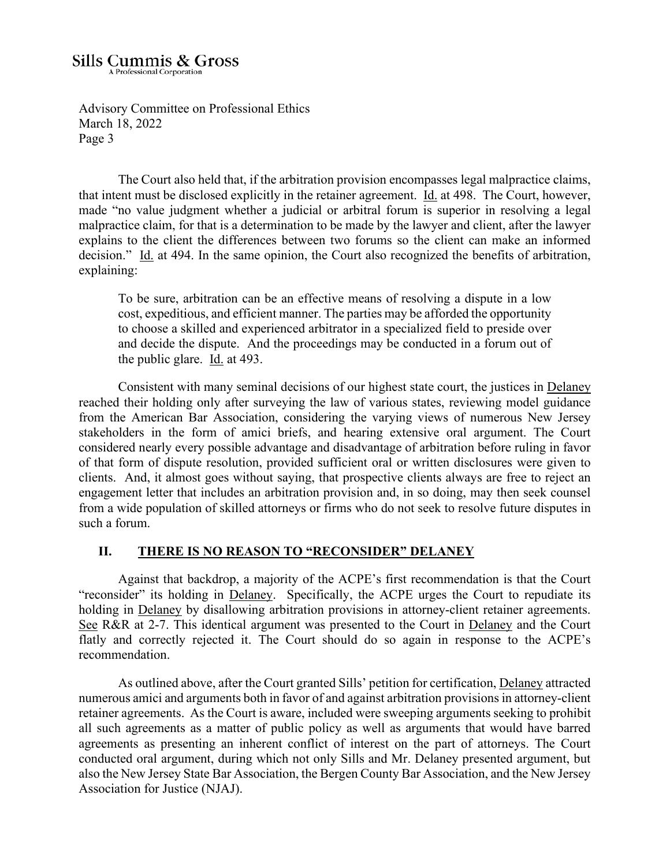March 18, 2022

Page 3

Advisory Committee on Professional Ethics

The Court also held that, if the arbitration provision encompasses legal malpractice claims, that intent must be disclosed explicitly in the retainer agreement. Id. at 498. The Court, however, made "no value judgment whether a judicial or arbitral forum is superior in resolving a legal malpractice claim, for that is a determination to be made by the lawyer and client, after the lawyer explains to the client the differences between two forums so the client can make an informed decision." Id. at 494. In the same opinion, the Court also recognized the benefits of arbitration, explaining:

To be sure, arbitration can be an effective means of resolving a dispute in a low cost, expeditious, and efficient manner. The parties may be afforded the opportunity to choose a skilled and experienced arbitrator in a specialized field to preside over and decide the dispute. And the proceedings may be conducted in a forum out of the public glare.  $\underline{Id}$  at 493.

 Consistent with many seminal decisions of our highest state court, the justices in Delaney reached their holding only after surveying the law of various states, reviewing model guidance from the American Bar Association, considering the varying views of numerous New Jersey stakeholders in the form of amici briefs, and hearing extensive oral argument. The Court considered nearly every possible advantage and disadvantage of arbitration before ruling in favor of that form of dispute resolution, provided sufficient oral or written disclosures were given to clients. And, it almost goes without saying, that prospective clients always are free to reject an engagement letter that includes an arbitration provision and, in so doing, may then seek counsel from a wide population of skilled attorneys or firms who do not seek to resolve future disputes in such a forum.

### **II. THERE IS NO REASON TO "RECONSIDER" DELANEY**

Against that backdrop, a majority of the ACPE's first recommendation is that the Court "reconsider" its holding in Delaney. Specifically, the ACPE urges the Court to repudiate its holding in Delaney by disallowing arbitration provisions in attorney-client retainer agreements. See R&R at 2-7. This identical argument was presented to the Court in Delaney and the Court flatly and correctly rejected it. The Court should do so again in response to the ACPE's recommendation.

As outlined above, after the Court granted Sills' petition for certification, Delaney attracted numerous amici and arguments both in favor of and against arbitration provisions in attorney-client retainer agreements. As the Court is aware, included were sweeping arguments seeking to prohibit all such agreements as a matter of public policy as well as arguments that would have barred agreements as presenting an inherent conflict of interest on the part of attorneys. The Court conducted oral argument, during which not only Sills and Mr. Delaney presented argument, but also the New Jersey State Bar Association, the Bergen County Bar Association, and the New Jersey Association for Justice (NJAJ).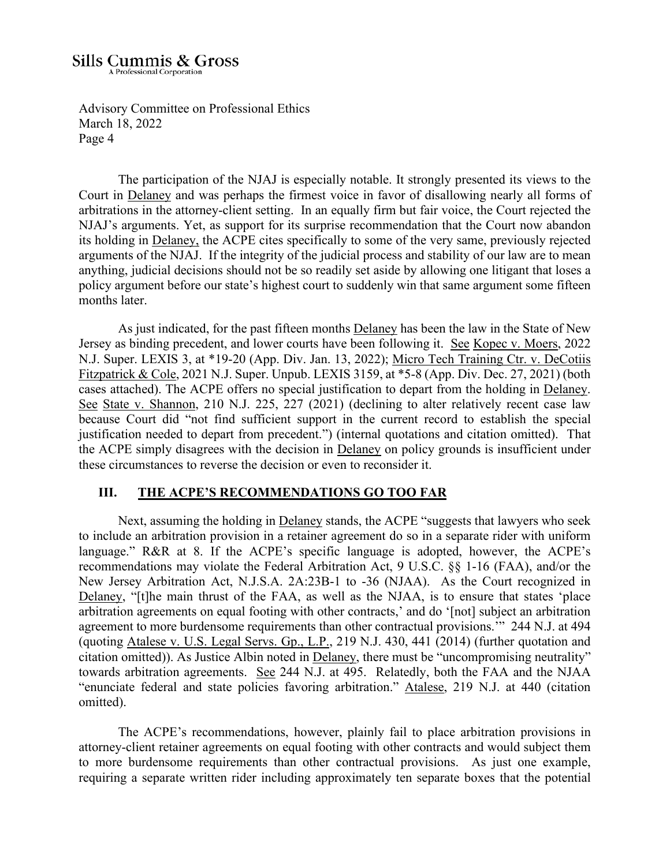Advisory Committee on Professional Ethics March 18, 2022 Page 4

The participation of the NJAJ is especially notable. It strongly presented its views to the Court in Delaney and was perhaps the firmest voice in favor of disallowing nearly all forms of arbitrations in the attorney-client setting. In an equally firm but fair voice, the Court rejected the NJAJ's arguments. Yet, as support for its surprise recommendation that the Court now abandon its holding in Delaney, the ACPE cites specifically to some of the very same, previously rejected arguments of the NJAJ. If the integrity of the judicial process and stability of our law are to mean anything, judicial decisions should not be so readily set aside by allowing one litigant that loses a policy argument before our state's highest court to suddenly win that same argument some fifteen months later.

As just indicated, for the past fifteen months Delaney has been the law in the State of New Jersey as binding precedent, and lower courts have been following it. See Kopec v. Moers, 2022 N.J. Super. LEXIS 3, at \*19-20 (App. Div. Jan. 13, 2022); Micro Tech Training Ctr. v. DeCotiis Fitzpatrick & Cole, 2021 N.J. Super. Unpub. LEXIS 3159, at \*5-8 (App. Div. Dec. 27, 2021) (both cases attached). The ACPE offers no special justification to depart from the holding in Delaney. See State v. Shannon, 210 N.J. 225, 227 (2021) (declining to alter relatively recent case law because Court did "not find sufficient support in the current record to establish the special justification needed to depart from precedent.") (internal quotations and citation omitted). That the ACPE simply disagrees with the decision in Delaney on policy grounds is insufficient under these circumstances to reverse the decision or even to reconsider it.

### **III. THE ACPE'S RECOMMENDATIONS GO TOO FAR**

Next, assuming the holding in Delaney stands, the ACPE "suggests that lawyers who seek to include an arbitration provision in a retainer agreement do so in a separate rider with uniform language." R&R at 8. If the ACPE's specific language is adopted, however, the ACPE's recommendations may violate the Federal Arbitration Act, 9 U.S.C. §§ 1-16 (FAA), and/or the New Jersey Arbitration Act, N.J.S.A. 2A:23B-1 to -36 (NJAA). As the Court recognized in Delaney, "[t]he main thrust of the FAA, as well as the NJAA, is to ensure that states 'place arbitration agreements on equal footing with other contracts,' and do '[not] subject an arbitration agreement to more burdensome requirements than other contractual provisions.'" 244 N.J. at 494 (quoting Atalese v. U.S. Legal Servs. Gp., L.P., 219 N.J. 430, 441 (2014) (further quotation and citation omitted)). As Justice Albin noted in Delaney, there must be "uncompromising neutrality" towards arbitration agreements. See 244 N.J. at 495. Relatedly, both the FAA and the NJAA "enunciate federal and state policies favoring arbitration." Atalese, 219 N.J. at 440 (citation omitted).

The ACPE's recommendations, however, plainly fail to place arbitration provisions in attorney-client retainer agreements on equal footing with other contracts and would subject them to more burdensome requirements than other contractual provisions. As just one example, requiring a separate written rider including approximately ten separate boxes that the potential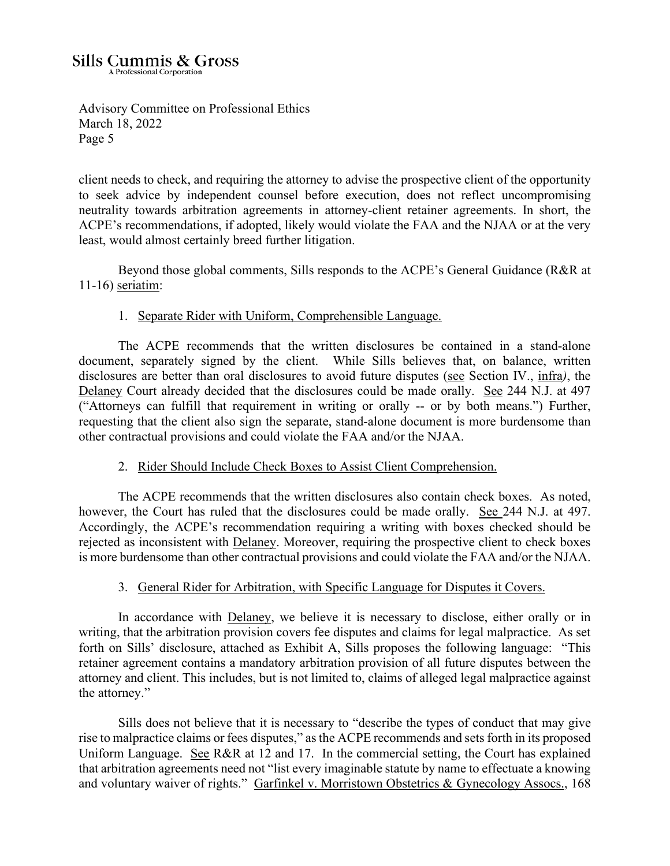Advisory Committee on Professional Ethics March 18, 2022 Page 5

client needs to check, and requiring the attorney to advise the prospective client of the opportunity to seek advice by independent counsel before execution, does not reflect uncompromising neutrality towards arbitration agreements in attorney-client retainer agreements. In short, the ACPE's recommendations, if adopted, likely would violate the FAA and the NJAA or at the very least, would almost certainly breed further litigation.

Beyond those global comments, Sills responds to the ACPE's General Guidance (R&R at 11-16) seriatim:

### 1. Separate Rider with Uniform, Comprehensible Language.

The ACPE recommends that the written disclosures be contained in a stand-alone document, separately signed by the client. While Sills believes that, on balance, written disclosures are better than oral disclosures to avoid future disputes (see Section IV., infra*)*, the Delaney Court already decided that the disclosures could be made orally. See 244 N.J. at 497 ("Attorneys can fulfill that requirement in writing or orally -- or by both means.") Further, requesting that the client also sign the separate, stand-alone document is more burdensome than other contractual provisions and could violate the FAA and/or the NJAA.

### 2. Rider Should Include Check Boxes to Assist Client Comprehension.

The ACPE recommends that the written disclosures also contain check boxes. As noted, however, the Court has ruled that the disclosures could be made orally. See 244 N.J. at 497. Accordingly, the ACPE's recommendation requiring a writing with boxes checked should be rejected as inconsistent with Delaney. Moreover, requiring the prospective client to check boxes is more burdensome than other contractual provisions and could violate the FAA and/or the NJAA.

### 3. General Rider for Arbitration, with Specific Language for Disputes it Covers.

In accordance with Delaney, we believe it is necessary to disclose, either orally or in writing, that the arbitration provision covers fee disputes and claims for legal malpractice. As set forth on Sills' disclosure, attached as Exhibit A, Sills proposes the following language: "This retainer agreement contains a mandatory arbitration provision of all future disputes between the attorney and client. This includes, but is not limited to, claims of alleged legal malpractice against the attorney."

Sills does not believe that it is necessary to "describe the types of conduct that may give rise to malpractice claims or fees disputes," as the ACPE recommends and sets forth in its proposed Uniform Language. See R&R at 12 and 17. In the commercial setting, the Court has explained that arbitration agreements need not "list every imaginable statute by name to effectuate a knowing and voluntary waiver of rights." Garfinkel v. Morristown Obstetrics & Gynecology Assocs., 168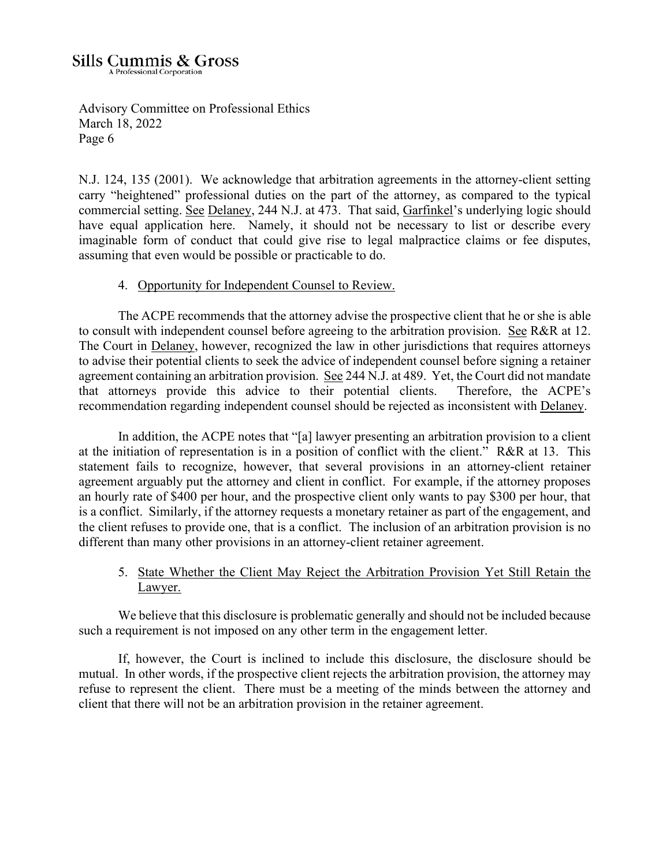Advisory Committee on Professional Ethics March 18, 2022 Page 6

N.J. 124, 135 (2001). We acknowledge that arbitration agreements in the attorney-client setting carry "heightened" professional duties on the part of the attorney, as compared to the typical commercial setting. See Delaney, 244 N.J. at 473. That said, Garfinkel's underlying logic should have equal application here. Namely, it should not be necessary to list or describe every imaginable form of conduct that could give rise to legal malpractice claims or fee disputes, assuming that even would be possible or practicable to do.

### 4. Opportunity for Independent Counsel to Review.

The ACPE recommends that the attorney advise the prospective client that he or she is able to consult with independent counsel before agreeing to the arbitration provision. See R&R at 12. The Court in Delaney, however, recognized the law in other jurisdictions that requires attorneys to advise their potential clients to seek the advice of independent counsel before signing a retainer agreement containing an arbitration provision. See 244 N.J. at 489. Yet, the Court did not mandate that attorneys provide this advice to their potential clients. Therefore, the ACPE's recommendation regarding independent counsel should be rejected as inconsistent with Delaney.

In addition, the ACPE notes that "[a] lawyer presenting an arbitration provision to a client at the initiation of representation is in a position of conflict with the client." R&R at 13. This statement fails to recognize, however, that several provisions in an attorney-client retainer agreement arguably put the attorney and client in conflict. For example, if the attorney proposes an hourly rate of \$400 per hour, and the prospective client only wants to pay \$300 per hour, that is a conflict. Similarly, if the attorney requests a monetary retainer as part of the engagement, and the client refuses to provide one, that is a conflict. The inclusion of an arbitration provision is no different than many other provisions in an attorney-client retainer agreement.

### 5. State Whether the Client May Reject the Arbitration Provision Yet Still Retain the Lawyer.

We believe that this disclosure is problematic generally and should not be included because such a requirement is not imposed on any other term in the engagement letter.

If, however, the Court is inclined to include this disclosure, the disclosure should be mutual. In other words, if the prospective client rejects the arbitration provision, the attorney may refuse to represent the client. There must be a meeting of the minds between the attorney and client that there will not be an arbitration provision in the retainer agreement.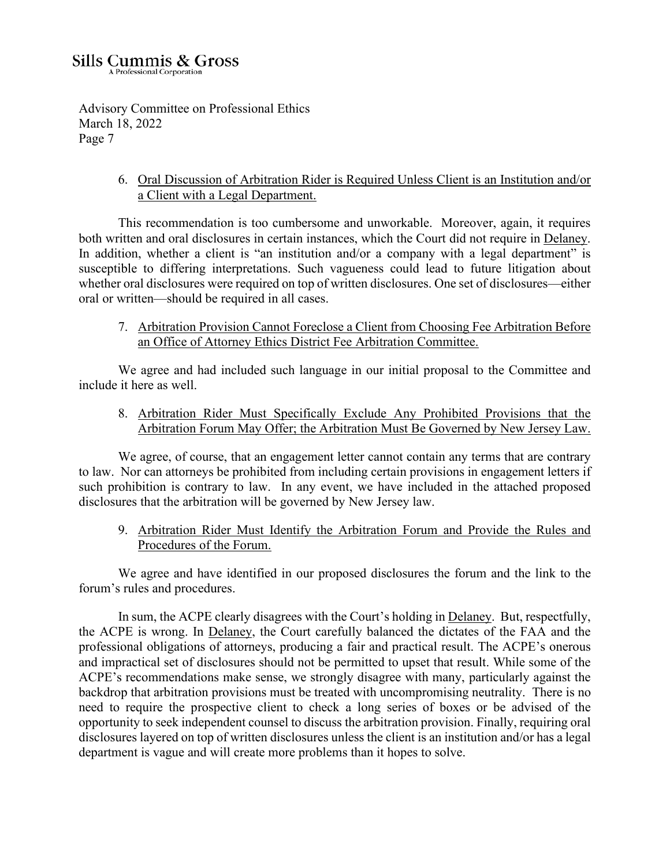Advisory Committee on Professional Ethics March 18, 2022 Page 7

> 6. Oral Discussion of Arbitration Rider is Required Unless Client is an Institution and/or a Client with a Legal Department.

This recommendation is too cumbersome and unworkable. Moreover, again, it requires both written and oral disclosures in certain instances, which the Court did not require in Delaney. In addition, whether a client is "an institution and/or a company with a legal department" is susceptible to differing interpretations. Such vagueness could lead to future litigation about whether oral disclosures were required on top of written disclosures. One set of disclosures—either oral or written—should be required in all cases.

7. Arbitration Provision Cannot Foreclose a Client from Choosing Fee Arbitration Before an Office of Attorney Ethics District Fee Arbitration Committee.

We agree and had included such language in our initial proposal to the Committee and include it here as well.

8. Arbitration Rider Must Specifically Exclude Any Prohibited Provisions that the Arbitration Forum May Offer; the Arbitration Must Be Governed by New Jersey Law.

We agree, of course, that an engagement letter cannot contain any terms that are contrary to law. Nor can attorneys be prohibited from including certain provisions in engagement letters if such prohibition is contrary to law. In any event, we have included in the attached proposed disclosures that the arbitration will be governed by New Jersey law.

9. Arbitration Rider Must Identify the Arbitration Forum and Provide the Rules and Procedures of the Forum.

We agree and have identified in our proposed disclosures the forum and the link to the forum's rules and procedures.

 In sum, the ACPE clearly disagrees with the Court's holding in Delaney. But, respectfully, the ACPE is wrong. In Delaney, the Court carefully balanced the dictates of the FAA and the professional obligations of attorneys, producing a fair and practical result. The ACPE's onerous and impractical set of disclosures should not be permitted to upset that result. While some of the ACPE's recommendations make sense, we strongly disagree with many, particularly against the backdrop that arbitration provisions must be treated with uncompromising neutrality. There is no need to require the prospective client to check a long series of boxes or be advised of the opportunity to seek independent counsel to discuss the arbitration provision. Finally, requiring oral disclosures layered on top of written disclosures unless the client is an institution and/or has a legal department is vague and will create more problems than it hopes to solve.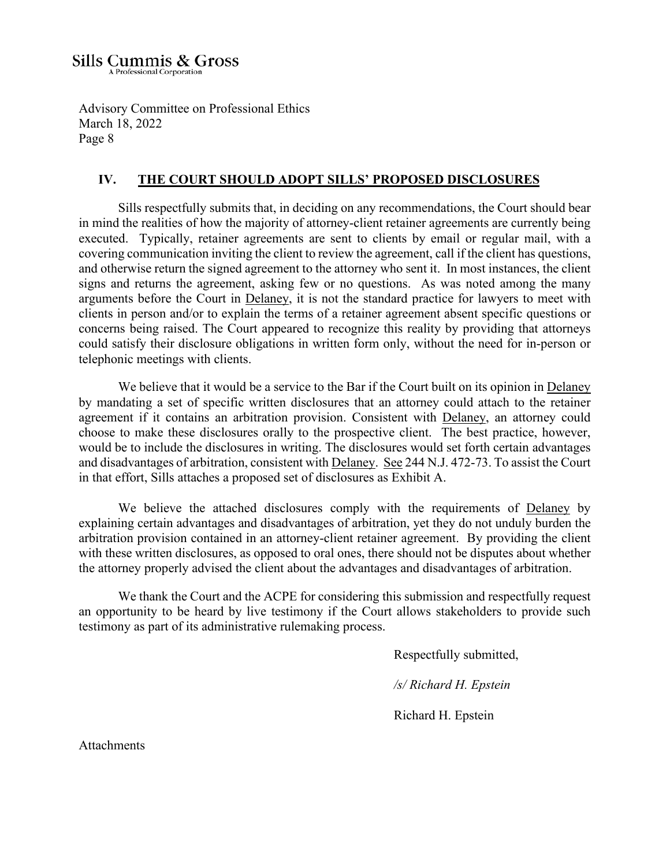Advisory Committee on Professional Ethics March 18, 2022 Page 8

### **IV. THE COURT SHOULD ADOPT SILLS' PROPOSED DISCLOSURES**

Sills respectfully submits that, in deciding on any recommendations, the Court should bear in mind the realities of how the majority of attorney-client retainer agreements are currently being executed. Typically, retainer agreements are sent to clients by email or regular mail, with a covering communication inviting the client to review the agreement, call if the client has questions, and otherwise return the signed agreement to the attorney who sent it. In most instances, the client signs and returns the agreement, asking few or no questions. As was noted among the many arguments before the Court in Delaney, it is not the standard practice for lawyers to meet with clients in person and/or to explain the terms of a retainer agreement absent specific questions or concerns being raised. The Court appeared to recognize this reality by providing that attorneys could satisfy their disclosure obligations in written form only, without the need for in-person or telephonic meetings with clients.

We believe that it would be a service to the Bar if the Court built on its opinion in Delaney by mandating a set of specific written disclosures that an attorney could attach to the retainer agreement if it contains an arbitration provision. Consistent with Delaney, an attorney could choose to make these disclosures orally to the prospective client. The best practice, however, would be to include the disclosures in writing. The disclosures would set forth certain advantages and disadvantages of arbitration, consistent with Delaney. See 244 N.J. 472-73. To assist the Court in that effort, Sills attaches a proposed set of disclosures as Exhibit A.

We believe the attached disclosures comply with the requirements of Delaney by explaining certain advantages and disadvantages of arbitration, yet they do not unduly burden the arbitration provision contained in an attorney-client retainer agreement. By providing the client with these written disclosures, as opposed to oral ones, there should not be disputes about whether the attorney properly advised the client about the advantages and disadvantages of arbitration.

We thank the Court and the ACPE for considering this submission and respectfully request an opportunity to be heard by live testimony if the Court allows stakeholders to provide such testimony as part of its administrative rulemaking process.

Respectfully submitted,

 */s/ Richard H. Epstein* 

Richard H. Epstein

Attachments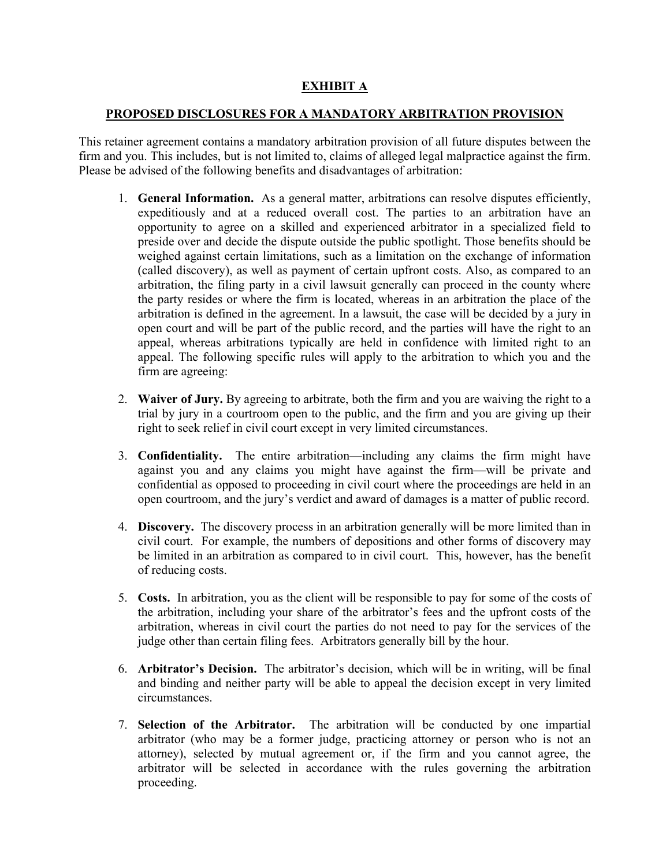### **EXHIBIT A**

### **PROPOSED DISCLOSURES FOR A MANDATORY ARBITRATION PROVISION**

This retainer agreement contains a mandatory arbitration provision of all future disputes between the firm and you. This includes, but is not limited to, claims of alleged legal malpractice against the firm. Please be advised of the following benefits and disadvantages of arbitration:

- 1. **General Information.** As a general matter, arbitrations can resolve disputes efficiently, expeditiously and at a reduced overall cost. The parties to an arbitration have an opportunity to agree on a skilled and experienced arbitrator in a specialized field to preside over and decide the dispute outside the public spotlight. Those benefits should be weighed against certain limitations, such as a limitation on the exchange of information (called discovery), as well as payment of certain upfront costs. Also, as compared to an arbitration, the filing party in a civil lawsuit generally can proceed in the county where the party resides or where the firm is located, whereas in an arbitration the place of the arbitration is defined in the agreement. In a lawsuit, the case will be decided by a jury in open court and will be part of the public record, and the parties will have the right to an appeal, whereas arbitrations typically are held in confidence with limited right to an appeal. The following specific rules will apply to the arbitration to which you and the firm are agreeing:
- 2. **Waiver of Jury.** By agreeing to arbitrate, both the firm and you are waiving the right to a trial by jury in a courtroom open to the public, and the firm and you are giving up their right to seek relief in civil court except in very limited circumstances.
- 3. **Confidentiality.** The entire arbitration—including any claims the firm might have against you and any claims you might have against the firm—will be private and confidential as opposed to proceeding in civil court where the proceedings are held in an open courtroom, and the jury's verdict and award of damages is a matter of public record.
- 4. **Discovery.** The discovery process in an arbitration generally will be more limited than in civil court. For example, the numbers of depositions and other forms of discovery may be limited in an arbitration as compared to in civil court. This, however, has the benefit of reducing costs.
- 5. **Costs.** In arbitration, you as the client will be responsible to pay for some of the costs of the arbitration, including your share of the arbitrator's fees and the upfront costs of the arbitration, whereas in civil court the parties do not need to pay for the services of the judge other than certain filing fees. Arbitrators generally bill by the hour.
- 6. **Arbitrator's Decision.** The arbitrator's decision, which will be in writing, will be final and binding and neither party will be able to appeal the decision except in very limited circumstances.
- 7. **Selection of the Arbitrator.** The arbitration will be conducted by one impartial arbitrator (who may be a former judge, practicing attorney or person who is not an attorney), selected by mutual agreement or, if the firm and you cannot agree, the arbitrator will be selected in accordance with the rules governing the arbitration proceeding.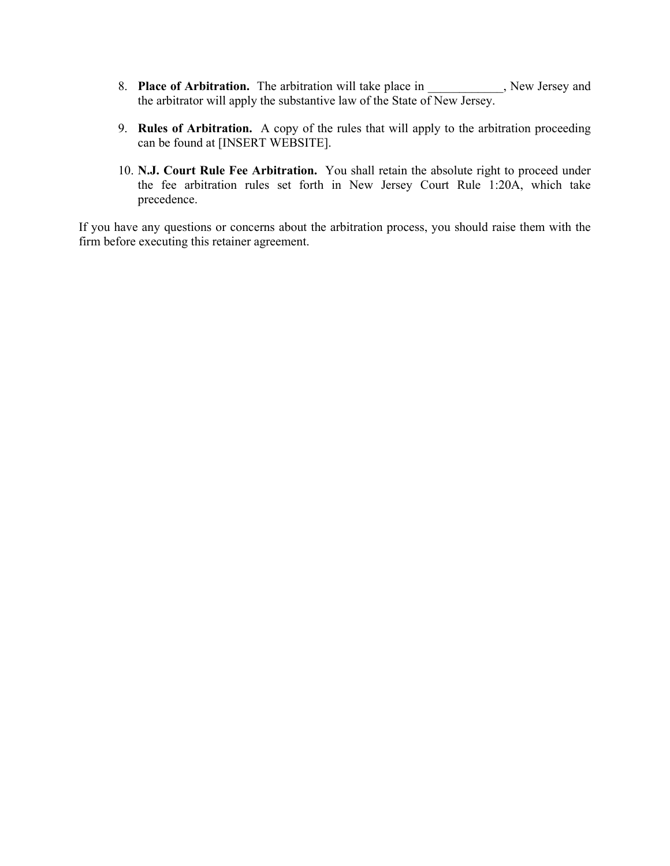- 8. **Place of Arbitration.** The arbitration will take place in \_\_\_\_\_\_\_\_\_, New Jersey and the arbitrator will apply the substantive law of the State of New Jersey.
- 9. **Rules of Arbitration.** A copy of the rules that will apply to the arbitration proceeding can be found at [INSERT WEBSITE].
- 10. **N.J. Court Rule Fee Arbitration.** You shall retain the absolute right to proceed under the fee arbitration rules set forth in New Jersey Court Rule 1:20A, which take precedence.

If you have any questions or concerns about the arbitration process, you should raise them with the firm before executing this retainer agreement.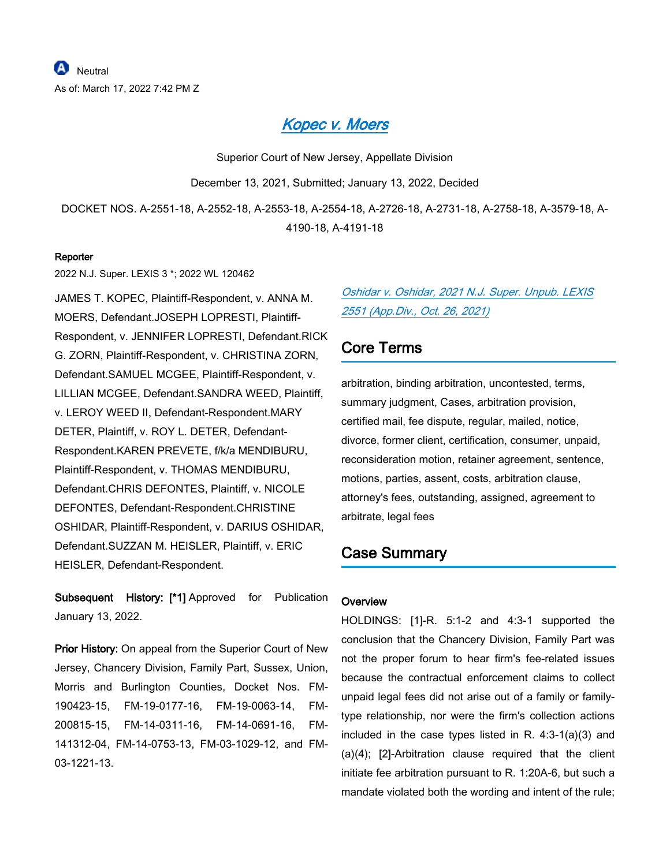## *[Kopec v. Moers](https://advance.lexis.com/api/document?collection=cases&id=urn:contentItem:64HR-WCK1-DYMS-60VY-00000-00&context=1000516)*

Superior Court of New Jersey, Appellate Division

December 13, 2021, Submitted; January 13, 2022, Decided

DOCKET NOS. A-2551-18, A-2552-18, A-2553-18, A-2554-18, A-2726-18, A-2731-18, A-2758-18, A-3579-18, A-4190-18, A-4191-18

#### **Reporter**

2022 N.J. Super. LEXIS 3 \*; 2022 WL 120462

JAMES T. KOPEC, Plaintiff-Respondent, v. ANNA M. MOERS, Defendant.JOSEPH LOPRESTI, Plaintiff-Respondent, v. JENNIFER LOPRESTI, Defendant.RICK G. ZORN, Plaintiff-Respondent, v. CHRISTINA ZORN, Defendant.SAMUEL MCGEE, Plaintiff-Respondent, v. LILLIAN MCGEE, Defendant.SANDRA WEED, Plaintiff, v. LEROY WEED II, Defendant-Respondent.MARY DETER, Plaintiff, v. ROY L. DETER, Defendant-Respondent.KAREN PREVETE, f/k/a MENDIBURU, Plaintiff-Respondent, v. THOMAS MENDIBURU, Defendant.CHRIS DEFONTES, Plaintiff, v. NICOLE DEFONTES, Defendant-Respondent.CHRISTINE OSHIDAR, Plaintiff-Respondent, v. DARIUS OSHIDAR, Defendant.SUZZAN M. HEISLER, Plaintiff, v. ERIC HEISLER, Defendant-Respondent.

**Subsequent History: [\*1]** Approved for Publication January 13, 2022.

**Prior History:** On appeal from the Superior Court of New Jersey, Chancery Division, Family Part, Sussex, Union, Morris and Burlington Counties, Docket Nos. FM-190423-15, FM-19-0177-16, FM-19-0063-14, FM-200815-15, FM-14-0311-16, FM-14-0691-16, FM-141312-04, FM-14-0753-13, FM-03-1029-12, and FM-03-1221-13.

## *[Oshidar v. Oshidar, 2021 N.J. Super. Unpub. LEXIS](https://advance.lexis.com/api/document?collection=cases&id=urn:contentItem:63XX-18K1-JJ1H-X22X-00000-00&context=1000516)  [2551 \(App.Div., Oct. 26, 2021\)](https://advance.lexis.com/api/document?collection=cases&id=urn:contentItem:63XX-18K1-JJ1H-X22X-00000-00&context=1000516)*

## **Core Terms**

arbitration, binding arbitration, uncontested, terms, summary judgment, Cases, arbitration provision, certified mail, fee dispute, regular, mailed, notice, divorce, former client, certification, consumer, unpaid, reconsideration motion, retainer agreement, sentence, motions, parties, assent, costs, arbitration clause, attorney's fees, outstanding, assigned, agreement to arbitrate, legal fees

## **Case Summary**

### **Overview**

HOLDINGS: [1]-R. 5:1-2 and 4:3-1 supported the conclusion that the Chancery Division, Family Part was not the proper forum to hear firm's fee-related issues because the contractual enforcement claims to collect unpaid legal fees did not arise out of a family or familytype relationship, nor were the firm's collection actions included in the case types listed in R. 4:3-1(a)(3) and (a)(4); [2]-Arbitration clause required that the client initiate fee arbitration pursuant to R. 1:20A-6, but such a mandate violated both the wording and intent of the rule;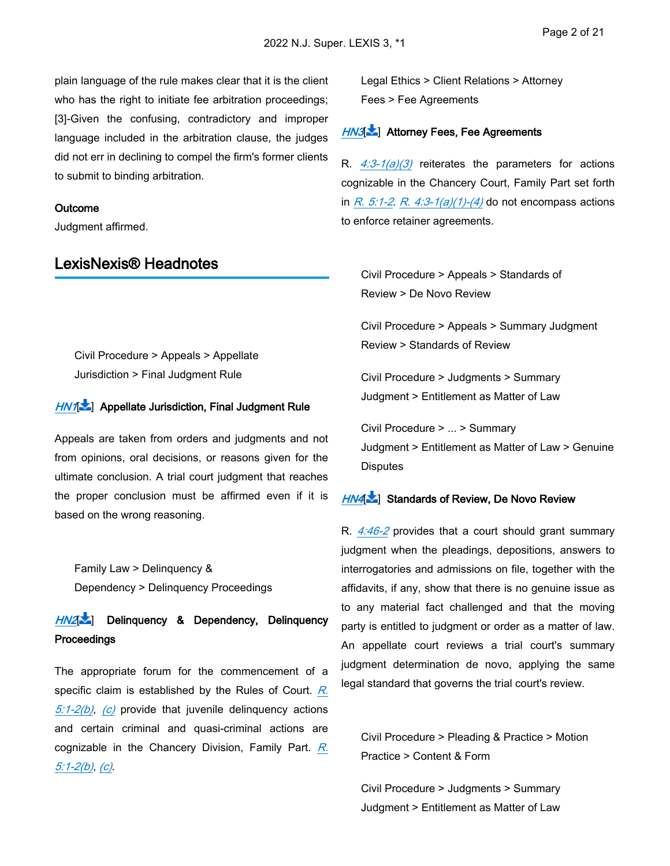plain language of the rule makes clear that it is the client who has the right to initiate fee arbitration proceedings; [3]-Given the confusing, contradictory and improper language included in the arbitration clause, the judges did not err in declining to compel the firm's former clients to submit to binding arbitration.

#### **Outcome**

Judgment affirmed.

## **LexisNexis® Headnotes**

<span id="page-11-0"></span>Civil Procedure > Appeals > Appellate Jurisdiction > Final Judgment Rule

### *[HN1](https://advance.lexis.com/api/document?collection=cases&id=urn:contentItem:64HR-WCK1-DYMS-60VY-00000-00&context=1000516&link=LNHNREFclscc1)*[ ] **Appellate Jurisdiction, Final Judgment Rule**

Appeals are taken from orders and judgments and not from opinions, oral decisions, or reasons given for the ultimate conclusion. A trial court judgment that reaches the proper conclusion must be affirmed even if it is based on the wrong reasoning. terials optate on the service of the transmission of the transmission of the transmission of the transmission of the transmission of the transmission of the transmission of the transmission of the transmission of the tran Artic<br>[I](https://advance.lexis.com/api/document?collection=cases&id=urn:contentItem:64HR-WCK1-DYMS-60VY-00000-00&context=1000516&link=LNHNREFclscc2)nternal<br>Internal<br>Internal

<span id="page-11-1"></span>Family Law > Delinquency & Dependency > Delinquency Proceedings

*HN2*[ ] **Delinquency & Dependency, Delinquency Proceedings**

<span id="page-11-2"></span>The appropriate forum for the commencement of a specific claim is established by the Rules of Court. *[R.](https://advance.lexis.com/api/document?collection=statutes-legislation&id=urn:contentItem:63TW-8CF1-DYB7-W2BD-00000-00&context=1000516)  [5:1-2\(b\)](https://advance.lexis.com/api/document?collection=statutes-legislation&id=urn:contentItem:63TW-8CF1-DYB7-W2BD-00000-00&context=1000516)*, *[\(c\)](https://advance.lexis.com/api/document?collection=statutes-legislation&id=urn:contentItem:63TW-8CF1-DYB7-W2BD-00000-00&context=1000516)* provide that juvenile delinquency actions and certain criminal and quasi-criminal actions are cognizable in the Chancery Division, Family Part. *[R.](https://advance.lexis.com/api/document?collection=statutes-legislation&id=urn:contentItem:63TW-8CF1-DYB7-W2BD-00000-00&context=1000516)  [5:1-2\(b\)](https://advance.lexis.com/api/document?collection=statutes-legislation&id=urn:contentItem:63TW-8CF1-DYB7-W2BD-00000-00&context=1000516)*, *[\(c\)](https://advance.lexis.com/api/document?collection=statutes-legislation&id=urn:contentItem:63TW-8CF1-DYB7-W2BD-00000-00&context=1000516)*.

Legal Ethics > Client Relations > Attorney Fees > Fee Agreements

### *[HN3](https://advance.lexis.com/api/document?collection=cases&id=urn:contentItem:64HR-WCK1-DYMS-60VY-00000-00&context=1000516&link=LNHNREFclscc3)*[ ] **Attorney Fees, Fee Agreements**

R. *[4:3-1\(a\)\(3\)](https://advance.lexis.com/api/document?collection=statutes-legislation&id=urn:contentItem:63TW-8CF1-DYB7-W1R5-00000-00&context=1000516)* reiterates the parameters for actions cognizable in the Chancery Court, Family Part set forth in *[R. 5:1-2](https://advance.lexis.com/api/document?collection=statutes-legislation&id=urn:contentItem:63TW-8CF1-DYB7-W2BD-00000-00&context=1000516)*. *[R. 4:3-1\(a\)\(1\)-\(4\)](https://advance.lexis.com/api/document?collection=statutes-legislation&id=urn:contentItem:63TW-8CF1-DYB7-W1R5-00000-00&context=1000516)* do not encompass actions to enforce retainer agreements.  $\frac{H N 3}{R}$ .  $\frac{4:3}{2}$  cognizatin  $\frac{R. 5}{R}$  to enform Cive Reversian Cive Reversian Cive Judge Cive Judge Distribute Distribution Cive Judge Distribute  $\frac{H N 4}{R}$ 

Civil Procedure > Appeals > Standards of Review > De Novo Review

Civil Procedure > Appeals > Summary Judgment Review > Standards of Review

Civil Procedure > Judgments > Summary Judgment > Entitlement as Matter of Law

Civil Procedure > ... > Summary Judgment > Entitlement as Matter of Law > Genuine **Disputes** 

### *HN4*[ ] **Standards of Review, De Novo Review**

R. *[4:46-2](https://advance.lexis.com/api/document?collection=statutes-legislation&id=urn:contentItem:63TW-8CF1-DYB7-W207-00000-00&context=1000516)* provides that a court should grant summary judgment when the pleadings, depositions, answers to interrogatories and admissions on file, together with the affidavits, if any, show that there is no genuine issue as to any material fact challenged and that the moving party is entitled to judgment or order as a matter of law. An appellate court reviews a trial court's summary judgment determination de novo, applying the same legal standard that governs the trial court's review.

Civil Procedure > Pleading & Practice > Motion Practice > Content & Form

Civil Procedure > Judgments > Summary Judgment > Entitlement as Matter of Law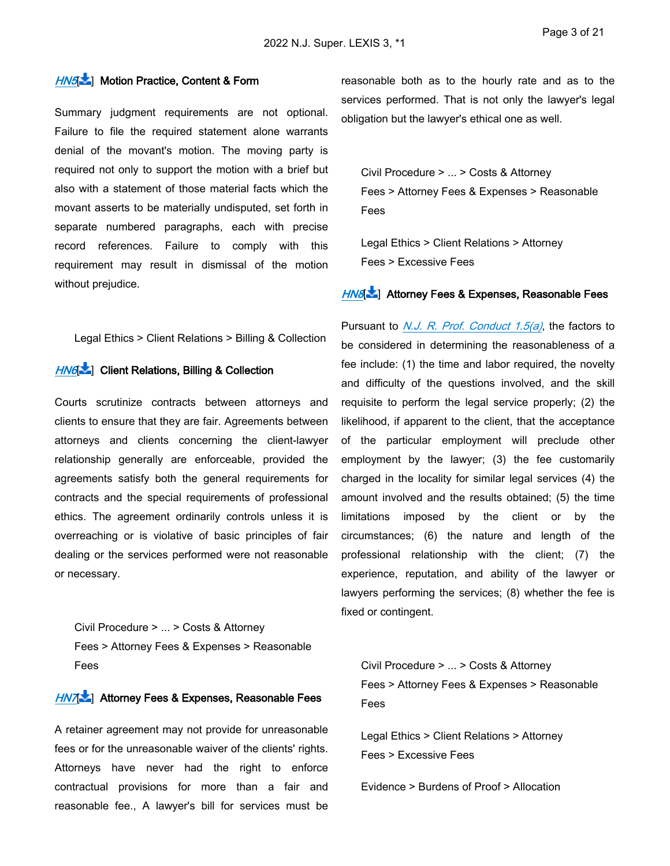### *[HN5](https://advance.lexis.com/api/document?collection=cases&id=urn:contentItem:64HR-WCK1-DYMS-60VY-00000-00&context=1000516&link=LNHNREFclscc5)*[ ] **Motion Practice, Content & Form**

Summary judgment requirements are not optional. Failure to file the required statement alone warrants denial of the movant's motion. The moving party is required not only to support the motion with a brief but also with a statement of those material facts which the movant asserts to be materially undisputed, set forth in separate numbered paragraphs, each with precise record references. Failure to comply with this requirement may result in dismissal of the motion without prejudice.

Legal Ethics > Client Relations > Billing & Collection

#### *[HN6](https://advance.lexis.com/api/document?collection=cases&id=urn:contentItem:64HR-WCK1-DYMS-60VY-00000-00&context=1000516&link=LNHNREFclscc6)*[ ] **Client Relations, Billing & Collection**

Courts scrutinize contracts between attorneys and clients to ensure that they are fair. Agreements between attorneys and clients concerning the client-lawyer relationship generally are enforceable, provided the agreements satisfy both the general requirements for contracts and the special requirements of professional ethics. The agreement ordinarily controls unless it is overreaching or is violative of basic principles of fair dealing or the services performed were not reasonable or necessary.

Civil Procedure > ... > Costs & Attorney Fees > Attorney Fees & Expenses > Reasonable Fees

### *[HN7](https://advance.lexis.com/api/document?collection=cases&id=urn:contentItem:64HR-WCK1-DYMS-60VY-00000-00&context=1000516&link=LNHNREFclscc7)*[ ] **Attorney Fees & Expenses, Reasonable Fees**

A retainer agreement may not provide for unreasonable fees or for the unreasonable waiver of the clients' rights. Attorneys have never had the right to enforce contractual provisions for more than a fair and reasonable fee., A lawyer's bill for services must be

reasonable both as to the hourly rate and as to the services performed. That is not only the lawyer's legal obligation but the lawyer's ethical one as well.

Civil Procedure > ... > Costs & Attorney Fees > Attorney Fees & Expenses > Reasonable Fees

Legal Ethics > Client Relations > Attorney Fees > Excessive Fees

### *[HN8](https://advance.lexis.com/api/document?collection=cases&id=urn:contentItem:64HR-WCK1-DYMS-60VY-00000-00&context=1000516&link=LNHNREFclscc8)*[ ] **Attorney Fees & Expenses, Reasonable Fees**

Pursuant to *[N.J. R. Prof. Conduct 1.5\(a\)](https://advance.lexis.com/api/document?collection=statutes-legislation&id=urn:contentItem:63TW-8CF1-DYB7-W169-00000-00&context=1000516)*, the factors to be considered in determining the reasonableness of a fee include: (1) the time and labor required, the novelty and difficulty of the questions involved, and the skill requisite to perform the legal service properly; (2) the likelihood, if apparent to the client, that the acceptance of the particular employment will preclude other employment by the lawyer; (3) the fee customarily charged in the locality for similar legal services (4) the amount involved and the results obtained; (5) the time limitations imposed by the client or by the circumstances; (6) the nature and length of the professional relationship with the client; (7) the experience, reputation, and ability of the lawyer or lawyers performing the services; (8) whether the fee is fixed or contingent.

<span id="page-12-0"></span>Civil Procedure > ... > Costs & Attorney Fees > Attorney Fees & Expenses > Reasonable Fees

Legal Ethics > Client Relations > Attorney Fees > Excessive Fees

Evidence > Burdens of Proof > Allocation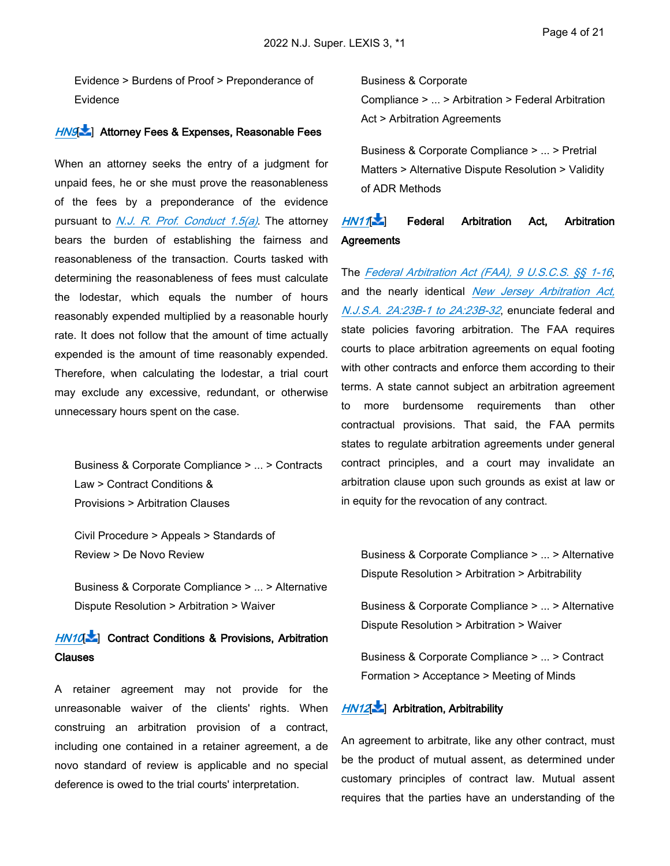Evidence > Burdens of Proof > Preponderance of Evidence

### *[HN9](https://advance.lexis.com/api/document?collection=cases&id=urn:contentItem:64HR-WCK1-DYMS-60VY-00000-00&context=1000516&link=LNHNREFclscc9)*[ ] **Attorney Fees & Expenses, Reasonable Fees**

When an attorney seeks the entry of a judgment for unpaid fees, he or she must prove the reasonableness of the fees by a preponderance of the evidence pursuant to *[N.J. R. Prof. Conduct 1.5\(a\)](https://advance.lexis.com/api/document?collection=statutes-legislation&id=urn:contentItem:63TW-8CF1-DYB7-W169-00000-00&context=1000516)*. The attorney bears the burden of establishing the fairness and reasonableness of the transaction. Courts tasked with determining the reasonableness of fees must calculate the lodestar, which equals the number of hours reasonably expended multiplied by a reasonable hourly rate. It does not follow that the amount of time actually expended is the amount of time reasonably expended. Therefore, when calculating the lodestar, a trial court may exclude any excessive, redundant, or otherwise unnecessary hours spent on the case.

<span id="page-13-0"></span>Business & Corporate Compliance > ... > Contracts Law > Contract Conditions & Provisions > Arbitration Clauses

Civil Procedure > Appeals > Standards of Review > De Novo Review

Business & Corporate Compliance > ... > Alternative Dispute Resolution > Arbitration > Waiver

## *[HN10](https://advance.lexis.com/api/document?collection=cases&id=urn:contentItem:64HR-WCK1-DYMS-60VY-00000-00&context=1000516&link=LNHNREFclscc10)*[\[](#page-26-0) ] **Contract Conditions & Provisions, Arbitration Clauses**

<span id="page-13-1"></span>A retainer agreement may not provide for the unreasonable waiver of the clients' rights. When construing an arbitration provision of a contract, including one contained in a retainer agreement, a de novo standard of review is applicable and no special deference is owed to the trial courts' interpretation.

Business & Corporate Compliance > ... > Arbitration > Federal Arbitration Act > Arbitration Agreements

Business & Corporate Compliance > ... > Pretrial Matters > Alternative Dispute Resolution > Validity of ADR Methods

## *[HN11](https://advance.lexis.com/api/document?collection=cases&id=urn:contentItem:64HR-WCK1-DYMS-60VY-00000-00&context=1000516&link=LNHNREFclscc11)*[\[](#page-27-0) ] **Federal Arbitration Act, Arbitration Agreements**

The *[Federal Arbitration Act \(FAA\), 9 U.S.C.S. §§ 1-16](https://advance.lexis.com/api/document?collection=statutes-legislation&id=urn:contentItem:8S6M-T292-D6RV-H4BK-00000-00&context=1000516)*, and the nearly identical *[New Jersey Arbitration Act,](https://advance.lexis.com/api/document?collection=statutes-legislation&id=urn:contentItem:5F0Y-BKK1-6F13-03YY-00000-00&context=1000516)  [N.J.S.A. 2A:23B-1 to 2A:23B-32](https://advance.lexis.com/api/document?collection=statutes-legislation&id=urn:contentItem:5F0Y-BKK1-6F13-03YY-00000-00&context=1000516)*, enunciate federal and state policies favoring arbitration. The FAA requires courts to place arbitration agreements on equal footing with other contracts and enforce them according to their terms. A state cannot subject an arbitration agreement to more burdensome requirements than other contractual provisions. That said, the FAA permits states to regulate arbitration agreements under general contract principles, and a court may invalidate an arbitration clause upon such grounds as exist at law or in equity for the revocation of any contract.

<span id="page-13-2"></span>Business & Corporate Compliance > ... > Alternative Dispute Resolution > Arbitration > Arbitrability

Business & Corporate Compliance > ... > Alternative Dispute Resolution > Arbitration > Waiver

Business & Corporate Compliance > ... > Contract Formation > Acceptance > Meeting of Minds

### *[HN12](https://advance.lexis.com/api/document?collection=cases&id=urn:contentItem:64HR-WCK1-DYMS-60VY-00000-00&context=1000516&link=LNHNREFclscc12)*[\[](#page-27-1) ] **Arbitration, Arbitrability**

An agreement to arbitrate, like any other contract, must be the product of mutual assent, as determined under customary principles of contract law. Mutual assent requires that the parties have an understanding of the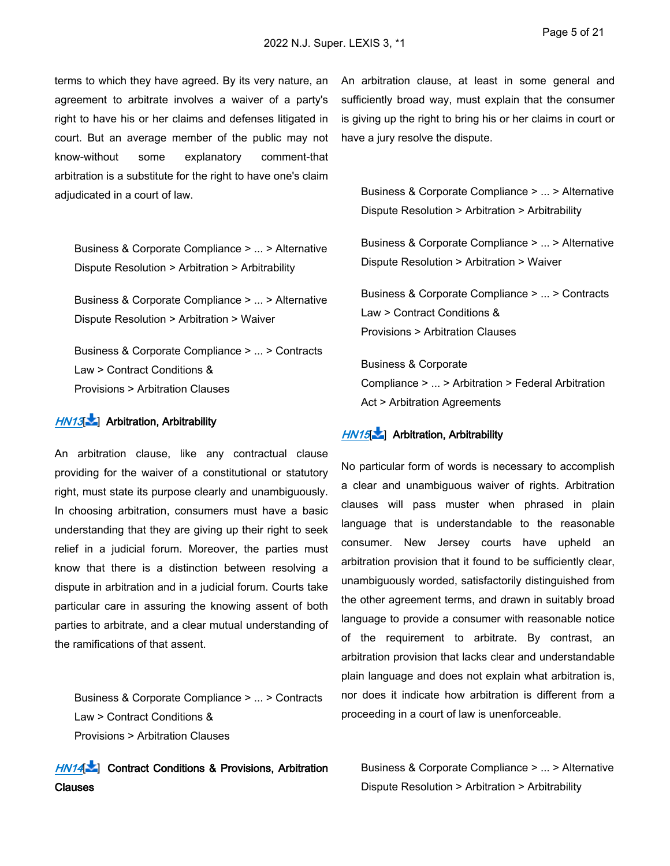terms to which they have agreed. By its very nature, an agreement to arbitrate involves a waiver of a party's right to have his or her claims and defenses litigated in court. But an average member of the public may not know-without some explanatory comment-that arbitration is a substitute for the right to have one's claim adjudicated in a court of law.

<span id="page-14-0"></span>Business & Corporate Compliance > ... > Alternative Dispute Resolution > Arbitration > Arbitrability

Business & Corporate Compliance > ... > Alternative Dispute Resolution > Arbitration > Waiver

Business & Corporate Compliance > ... > Contracts Law > Contract Conditions & Provisions > Arbitration Clauses

### *[HN13](https://advance.lexis.com/api/document?collection=cases&id=urn:contentItem:64HR-WCK1-DYMS-60VY-00000-00&context=1000516&link=LNHNREFclscc13)*[\[](#page-27-2) ] **Arbitration, Arbitrability**

An arbitration clause, like any contractual clause providing for the waiver of a constitutional or statutory right, must state its purpose clearly and unambiguously. In choosing arbitration, consumers must have a basic understanding that they are giving up their right to seek relief in a judicial forum. Moreover, the parties must know that there is a distinction between resolving a dispute in arbitration and in a judicial forum. Courts take particular care in assuring the knowing assent of both parties to arbitrate, and a clear mutual understanding of the ramifications of that assent.

<span id="page-14-1"></span>Business & Corporate Compliance > ... > Contracts Law > Contract Conditions & Provisions > Arbitration Clauses

*[HN14](https://advance.lexis.com/api/document?collection=cases&id=urn:contentItem:64HR-WCK1-DYMS-60VY-00000-00&context=1000516&link=LNHNREFclscc14)*[\[](#page-27-3) ] **Contract Conditions & Provisions, Arbitration Clauses**

An arbitration clause, at least in some general and sufficiently broad way, must explain that the consumer is giving up the right to bring his or her claims in court or have a jury resolve the dispute.

<span id="page-14-2"></span>Business & Corporate Compliance > ... > Alternative Dispute Resolution > Arbitration > Arbitrability

Business & Corporate Compliance > ... > Alternative Dispute Resolution > Arbitration > Waiver

Business & Corporate Compliance > ... > Contracts Law > Contract Conditions & Provisions > Arbitration Clauses

Business & Corporate Compliance > ... > Arbitration > Federal Arbitration Act > Arbitration Agreements

### *[HN15](https://advance.lexis.com/api/document?collection=cases&id=urn:contentItem:64HR-WCK1-DYMS-60VY-00000-00&context=1000516&link=LNHNREFclscc15)*[\[](#page-27-4) ] **Arbitration, Arbitrability**

No particular form of words is necessary to accomplish a clear and unambiguous waiver of rights. Arbitration clauses will pass muster when phrased in plain language that is understandable to the reasonable consumer. New Jersey courts have upheld an arbitration provision that it found to be sufficiently clear, unambiguously worded, satisfactorily distinguished from the other agreement terms, and drawn in suitably broad language to provide a consumer with reasonable notice of the requirement to arbitrate. By contrast, an arbitration provision that lacks clear and understandable plain language and does not explain what arbitration is, nor does it indicate how arbitration is different from a proceeding in a court of law is unenforceable.

<span id="page-14-3"></span>Business & Corporate Compliance > ... > Alternative Dispute Resolution > Arbitration > Arbitrability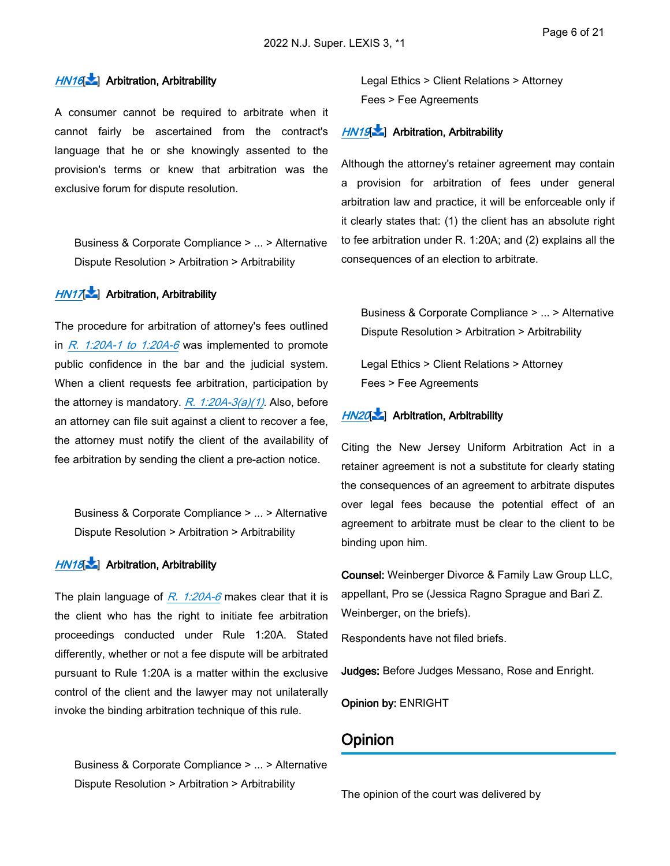### *[HN16](https://advance.lexis.com/api/document?collection=cases&id=urn:contentItem:64HR-WCK1-DYMS-60VY-00000-00&context=1000516&link=LNHNREFclscc16)*[\[](#page-28-0) ] **Arbitration, Arbitrability**

A consumer cannot be required to arbitrate when it cannot fairly be ascertained from the contract's language that he or she knowingly assented to the provision's terms or knew that arbitration was the exclusive forum for dispute resolution.

<span id="page-15-0"></span>Business & Corporate Compliance > ... > Alternative Dispute Resolution > Arbitration > Arbitrability

### *[HN17](https://advance.lexis.com/api/document?collection=cases&id=urn:contentItem:64HR-WCK1-DYMS-60VY-00000-00&context=1000516&link=LNHNREFclscc17)*[\[](#page-28-1) ] **Arbitration, Arbitrability**

The procedure for arbitration of attorney's fees outlined in *[R. 1:20A-1 to 1:20A-6](https://advance.lexis.com/api/document?collection=statutes-legislation&id=urn:contentItem:63TW-8CF1-DYB7-W0YX-00000-00&context=1000516)* was implemented to promote public confidence in the bar and the judicial system. When a client requests fee arbitration, participation by the attorney is mandatory. *[R. 1:20A-3\(a\)\(1\)](https://advance.lexis.com/api/document?collection=statutes-legislation&id=urn:contentItem:63TW-8CF1-DYB7-W100-00000-00&context=1000516)*. Also, before an attorney can file suit against a client to recover a fee, the attorney must notify the client of the availability of fee arbitration by sending the client a pre-action notice.

<span id="page-15-1"></span>Business & Corporate Compliance > ... > Alternative Dispute Resolution > Arbitration > Arbitrability

## *[HN18](https://advance.lexis.com/api/document?collection=cases&id=urn:contentItem:64HR-WCK1-DYMS-60VY-00000-00&context=1000516&link=LNHNREFclscc18)*[\[](#page-29-0) ] **Arbitration, Arbitrability**

The plain language of *[R. 1:20A-6](https://advance.lexis.com/api/document?collection=statutes-legislation&id=urn:contentItem:63TW-8CF1-DYB7-W103-00000-00&context=1000516)* makes clear that it is the client who has the right to initiate fee arbitration proceedings conducted under Rule 1:20A. Stated differently, whether or not a fee dispute will be arbitrated pursuant to Rule 1:20A is a matter within the exclusive control of the client and the lawyer may not unilaterally invoke the binding arbitration technique of this rule.

<span id="page-15-2"></span>Business & Corporate Compliance > ... > Alternative Dispute Resolution > Arbitration > Arbitrability

Legal Ethics > Client Relations > Attorney Fees > Fee Agreements

### *[HN19](https://advance.lexis.com/api/document?collection=cases&id=urn:contentItem:64HR-WCK1-DYMS-60VY-00000-00&context=1000516&link=LNHNREFclscc19)*[\[](#page-29-1) ] **Arbitration, Arbitrability**

Although the attorney's retainer agreement may contain a provision for arbitration of fees under general arbitration law and practice, it will be enforceable only if it clearly states that: (1) the client has an absolute right to fee arbitration under R. 1:20A; and (2) explains all the consequences of an election to arbitrate.

<span id="page-15-3"></span>Business & Corporate Compliance > ... > Alternative Dispute Resolution > Arbitration > Arbitrability

Legal Ethics > Client Relations > Attorney Fees > Fee Agreements

### *[HN20](https://advance.lexis.com/api/document?collection=cases&id=urn:contentItem:64HR-WCK1-DYMS-60VY-00000-00&context=1000516&link=LNHNREFclscc20)*[\[](#page-29-2) ] **Arbitration, Arbitrability**

Citing the New Jersey Uniform Arbitration Act in a retainer agreement is not a substitute for clearly stating the consequences of an agreement to arbitrate disputes over legal fees because the potential effect of an agreement to arbitrate must be clear to the client to be binding upon him.

**Counsel:** Weinberger Divorce & Family Law Group LLC, appellant, Pro se (Jessica Ragno Sprague and Bari Z. Weinberger, on the briefs).

Respondents have not filed briefs.

**Judges:** Before Judges Messano, Rose and Enright.

**Opinion by:** ENRIGHT

### **Opinion**

The opinion of the court was delivered by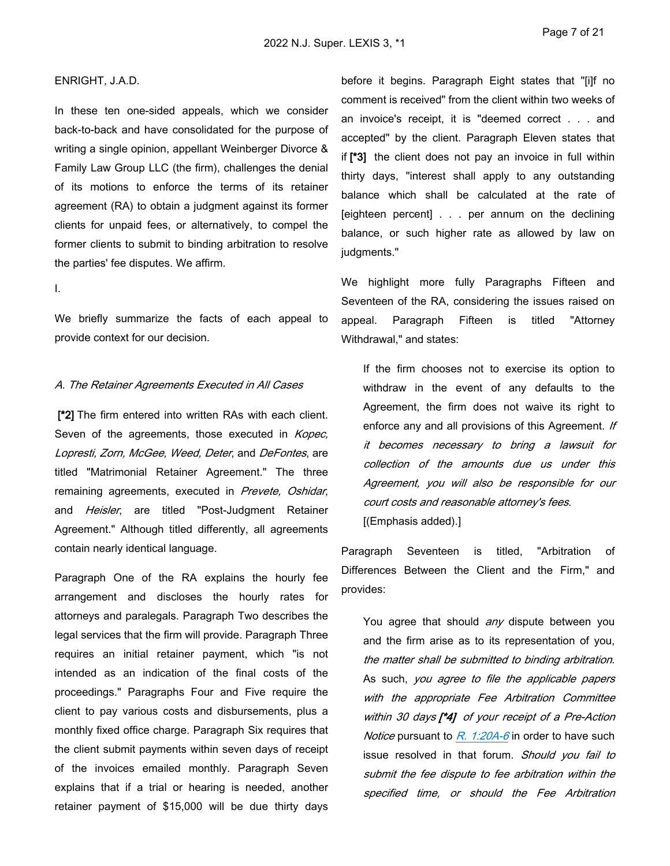#### ENRIGHT, J.A.D.

In these ten one-sided appeals, which we consider back-to-back and have consolidated for the purpose of writing a single opinion, appellant Weinberger Divorce & Family Law Group LLC (the firm), challenges the denial of its motions to enforce the terms of its retainer agreement (RA) to obtain a judgment against its former clients for unpaid fees, or alternatively, to compel the former clients to submit to binding arbitration to resolve the parties' fee disputes. We affirm.

I.

We briefly summarize the facts of each appeal to provide context for our decision.

#### *A. The Retainer Agreements Executed in All Cases*

 **[\*2]** The firm entered into written RAs with each client. Seven of the agreements, those executed in *Kopec, Lopresti, Zorn, McGee, Weed, Deter*, and *DeFontes*, are titled "Matrimonial Retainer Agreement." The three remaining agreements, executed in *Prevete, Oshidar*, and *Heisler*, are titled "Post-Judgment Retainer Agreement." Although titled differently, all agreements contain nearly identical language.

Paragraph One of the RA explains the hourly fee arrangement and discloses the hourly rates for attorneys and paralegals. Paragraph Two describes the legal services that the firm will provide. Paragraph Three requires an initial retainer payment, which "is not intended as an indication of the final costs of the proceedings." Paragraphs Four and Five require the client to pay various costs and disbursements, plus a monthly fixed office charge. Paragraph Six requires that the client submit payments within seven days of receipt of the invoices emailed monthly. Paragraph Seven explains that if a trial or hearing is needed, another retainer payment of \$15,000 will be due thirty days

before it begins. Paragraph Eight states that "[i]f no comment is received" from the client within two weeks of an invoice's receipt, it is "deemed correct . . . and accepted" by the client. Paragraph Eleven states that if **[\*3]** the client does not pay an invoice in full within thirty days, "interest shall apply to any outstanding balance which shall be calculated at the rate of [eighteen percent] . . . per annum on the declining balance, or such higher rate as allowed by law on judgments."

We highlight more fully Paragraphs Fifteen and Seventeen of the RA, considering the issues raised on appeal. Paragraph Fifteen is titled "Attorney Withdrawal," and states:

If the firm chooses not to exercise its option to withdraw in the event of any defaults to the Agreement, the firm does not waive its right to enforce any and all provisions of this Agreement. *If it becomes necessary to bring a lawsuit for collection of the amounts due us under this Agreement, you will also be responsible for our court costs and reasonable attorney's fees*. [(Emphasis added).]

Paragraph Seventeen is titled, "Arbitration of Differences Between the Client and the Firm," and provides:

You agree that should *any* dispute between you and the firm arise as to its representation of you, *the matter shall be submitted to binding arbitration*. As such, *you agree to file the applicable papers with the appropriate Fee Arbitration Committee within 30 days [\*4] of your receipt of a Pre-Action Notice* pursuant to *[R. 1:20A-6](https://advance.lexis.com/api/document?collection=statutes-legislation&id=urn:contentItem:63TW-8CF1-DYB7-W103-00000-00&context=1000516)* in order to have such issue resolved in that forum. *Should you fail to submit the fee dispute to fee arbitration within the specified time, or should the Fee Arbitration*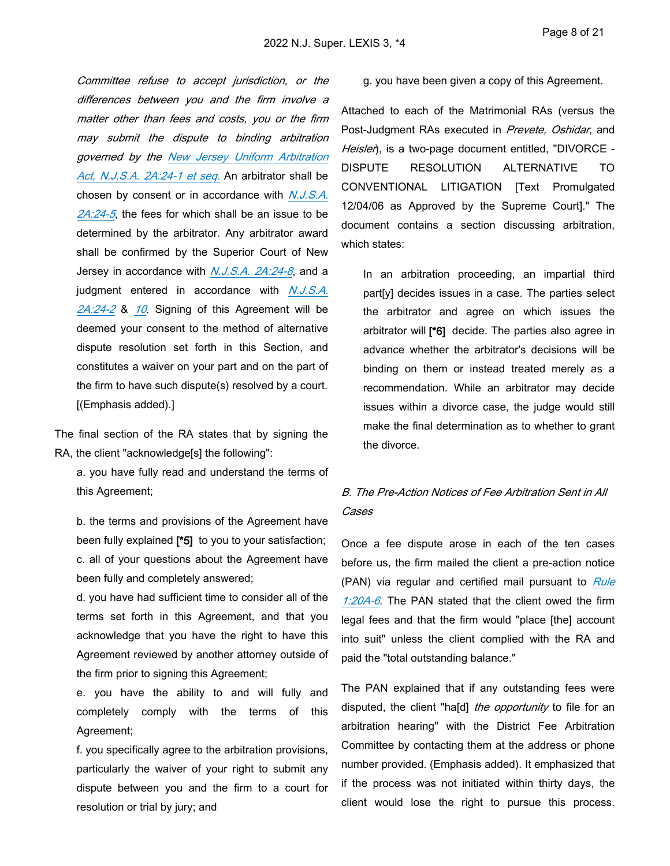*Committee refuse to accept jurisdiction, or the differences between you and the firm involve a matter other than fees and costs, you or the firm may submit the dispute to binding arbitration governed by the [New Jersey Uniform Arbitration](https://advance.lexis.com/api/document?collection=statutes-legislation&id=urn:contentItem:5F0Y-BKK1-6F13-0429-00000-00&context=1000516)  [Act, N.J.S.A. 2A:24-1 et seq.](https://advance.lexis.com/api/document?collection=statutes-legislation&id=urn:contentItem:5F0Y-BKK1-6F13-0429-00000-00&context=1000516)* An arbitrator shall be chosen by consent or in accordance with *[N.J.S.A.](https://advance.lexis.com/api/document?collection=statutes-legislation&id=urn:contentItem:5F0Y-BKK1-6F13-042G-00000-00&context=1000516)  [2A:24-5](https://advance.lexis.com/api/document?collection=statutes-legislation&id=urn:contentItem:5F0Y-BKK1-6F13-042G-00000-00&context=1000516)*, the fees for which shall be an issue to be determined by the arbitrator. Any arbitrator award shall be confirmed by the Superior Court of New Jersey in accordance with *[N.J.S.A. 2A:24-8](https://advance.lexis.com/api/document?collection=statutes-legislation&id=urn:contentItem:5F0Y-BKK1-6F13-042K-00000-00&context=1000516)*, and a judgment entered in accordance with *[N.J.S.A.](https://advance.lexis.com/api/document?collection=statutes-legislation&id=urn:contentItem:5F0Y-BKK1-6F13-042C-00000-00&context=1000516)  [2A:24-2](https://advance.lexis.com/api/document?collection=statutes-legislation&id=urn:contentItem:5F0Y-BKK1-6F13-042C-00000-00&context=1000516)* & *[10](https://advance.lexis.com/api/document?collection=statutes-legislation&id=urn:contentItem:5F0Y-BKK1-6F13-042N-00000-00&context=1000516)*. Signing of this Agreement will be deemed your consent to the method of alternative dispute resolution set forth in this Section, and constitutes a waiver on your part and on the part of the firm to have such dispute(s) resolved by a court. [(Emphasis added).]

The final section of the RA states that by signing the RA, the client "acknowledge[s] the following":

a. you have fully read and understand the terms of this Agreement;

b. the terms and provisions of the Agreement have been fully explained **[\*5]** to you to your satisfaction; c. all of your questions about the Agreement have been fully and completely answered;

d. you have had sufficient time to consider all of the terms set forth in this Agreement, and that you acknowledge that you have the right to have this Agreement reviewed by another attorney outside of the firm prior to signing this Agreement;

e. you have the ability to and will fully and completely comply with the terms of this Agreement;

f. you specifically agree to the arbitration provisions, particularly the waiver of your right to submit any dispute between you and the firm to a court for resolution or trial by jury; and

#### g. you have been given a copy of this Agreement.

Attached to each of the Matrimonial RAs (versus the Post-Judgment RAs executed in *Prevete, Oshidar*, and *Heisler*), is a two-page document entitled, "DIVORCE - DISPUTE RESOLUTION ALTERNATIVE TO CONVENTIONAL LITIGATION [Text Promulgated 12/04/06 as Approved by the Supreme Court]." The document contains a section discussing arbitration, which states:

In an arbitration proceeding, an impartial third part[y] decides issues in a case. The parties select the arbitrator and agree on which issues the arbitrator will **[\*6]** decide. The parties also agree in advance whether the arbitrator's decisions will be binding on them or instead treated merely as a recommendation. While an arbitrator may decide issues within a divorce case, the judge would still make the final determination as to whether to grant the divorce.

## *B. The Pre-Action Notices of Fee Arbitration Sent in All Cases*

Once a fee dispute arose in each of the ten cases before us, the firm mailed the client a pre-action notice (PAN) via regular and certified mail pursuant to *[Rule](https://advance.lexis.com/api/document?collection=statutes-legislation&id=urn:contentItem:63TW-8CF1-DYB7-W103-00000-00&context=1000516)  [1:20A-6](https://advance.lexis.com/api/document?collection=statutes-legislation&id=urn:contentItem:63TW-8CF1-DYB7-W103-00000-00&context=1000516)*. The PAN stated that the client owed the firm legal fees and that the firm would "place [the] account into suit" unless the client complied with the RA and paid the "total outstanding balance."

The PAN explained that if any outstanding fees were disputed, the client "ha[d] *the opportunity* to file for an arbitration hearing" with the District Fee Arbitration Committee by contacting them at the address or phone number provided. (Emphasis added). It emphasized that if the process was not initiated within thirty days, the client would lose the right to pursue this process.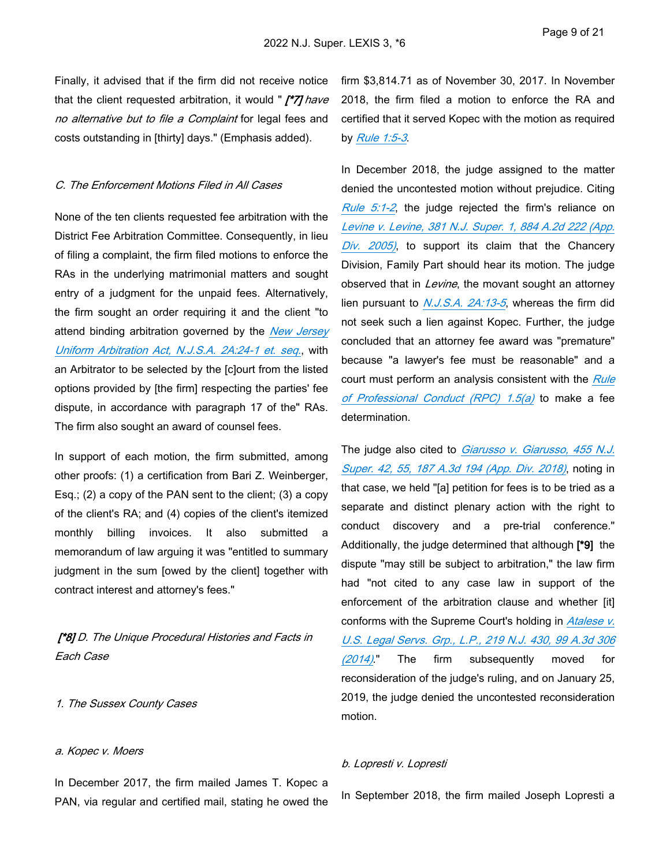Finally, it advised that if the firm did not receive notice that the client requested arbitration, it would " *[\*7] have no alternative but to file a Complaint* for legal fees and costs outstanding in [thirty] days." (Emphasis added).

#### *C. The Enforcement Motions Filed in All Cases*

None of the ten clients requested fee arbitration with the District Fee Arbitration Committee. Consequently, in lieu of filing a complaint, the firm filed motions to enforce the RAs in the underlying matrimonial matters and sought entry of a judgment for the unpaid fees. Alternatively, the firm sought an order requiring it and the client "to attend binding arbitration governed by the *[New Jersey](https://advance.lexis.com/api/document?collection=statutes-legislation&id=urn:contentItem:5F0Y-BKK1-6F13-0429-00000-00&context=1000516)  [Uniform Arbitration Act, N.J.S.A. 2A:24-1 et. seq.](https://advance.lexis.com/api/document?collection=statutes-legislation&id=urn:contentItem:5F0Y-BKK1-6F13-0429-00000-00&context=1000516)*, with an Arbitrator to be selected by the [c]ourt from the listed options provided by [the firm] respecting the parties' fee dispute, in accordance with paragraph 17 of the" RAs. The firm also sought an award of counsel fees.

In support of each motion, the firm submitted, among other proofs: (1) a certification from Bari Z. Weinberger, Esq.; (2) a copy of the PAN sent to the client; (3) a copy of the client's RA; and (4) copies of the client's itemized monthly billing invoices. It also submitted a memorandum of law arguing it was "entitled to summary judgment in the sum [owed by the client] together with contract interest and attorney's fees."

 *[\*8] D. The Unique Procedural Histories and Facts in Each Case*

#### *1. The Sussex County Cases*

#### *a. Kopec v. Moers*

In December 2017, the firm mailed James T. Kopec a PAN, via regular and certified mail, stating he owed the

firm \$3,814.71 as of November 30, 2017. In November 2018, the firm filed a motion to enforce the RA and certified that it served Kopec with the motion as required by *[Rule 1:5-3](https://advance.lexis.com/api/document?collection=statutes-legislation&id=urn:contentItem:63TW-8CF1-DYB7-W0T4-00000-00&context=1000516)*.

In December 2018, the judge assigned to the matter denied the uncontested motion without prejudice. Citing *[Rule 5:1-2](https://advance.lexis.com/api/document?collection=statutes-legislation&id=urn:contentItem:63TW-8CF1-DYB7-W2BD-00000-00&context=1000516)*, the judge rejected the firm's reliance on *[Levine v. Levine, 381 N.J. Super. 1, 884 A.2d 222 \(App.](https://advance.lexis.com/api/document?collection=cases&id=urn:contentItem:4HB6-6MK0-0039-44B6-00000-00&context=1000516)  [Div. 2005\)](https://advance.lexis.com/api/document?collection=cases&id=urn:contentItem:4HB6-6MK0-0039-44B6-00000-00&context=1000516)*, to support its claim that the Chancery Division, Family Part should hear its motion. The judge observed that in *Levine*, the movant sought an attorney lien pursuant to *[N.J.S.A. 2A:13-5](https://advance.lexis.com/api/document?collection=statutes-legislation&id=urn:contentItem:5F0Y-BKJ1-6F13-04D5-00000-00&context=1000516)*, whereas the firm did not seek such a lien against Kopec. Further, the judge concluded that an attorney fee award was "premature" because "a lawyer's fee must be reasonable" and a court must perform an analysis consistent with the *[Rule](https://advance.lexis.com/api/document?collection=statutes-legislation&id=urn:contentItem:63TW-8CF1-DYB7-W169-00000-00&context=1000516)  [of Professional Conduct \(RPC\) 1.5\(a\)](https://advance.lexis.com/api/document?collection=statutes-legislation&id=urn:contentItem:63TW-8CF1-DYB7-W169-00000-00&context=1000516)* to make a fee determination.

The judge also cited to *[Giarusso v. Giarusso, 455 N.J.](https://advance.lexis.com/api/document?collection=cases&id=urn:contentItem:5SF7-1WN1-F06F-209K-00000-00&context=1000516)  [Super. 42, 55, 187 A.3d 194 \(App. Div. 2018\)](https://advance.lexis.com/api/document?collection=cases&id=urn:contentItem:5SF7-1WN1-F06F-209K-00000-00&context=1000516)*, noting in that case, we held "[a] petition for fees is to be tried as a separate and distinct plenary action with the right to conduct discovery and a pre-trial conference." Additionally, the judge determined that although **[\*9]** the dispute "may still be subject to arbitration," the law firm had "not cited to any case law in support of the enforcement of the arbitration clause and whether [it] conforms with the Supreme Court's holding in *[Atalese v.](https://advance.lexis.com/api/document?collection=cases&id=urn:contentItem:5D6K-NRP1-F04H-V33J-00000-00&context=1000516)  [U.S. Legal Servs. Grp., L.P., 219 N.J. 430, 99 A.3d 306](https://advance.lexis.com/api/document?collection=cases&id=urn:contentItem:5D6K-NRP1-F04H-V33J-00000-00&context=1000516)  [\(2014\)](https://advance.lexis.com/api/document?collection=cases&id=urn:contentItem:5D6K-NRP1-F04H-V33J-00000-00&context=1000516)*." The firm subsequently moved for reconsideration of the judge's ruling, and on January 25, 2019, the judge denied the uncontested reconsideration motion.

#### *b. Lopresti v. Lopresti*

In September 2018, the firm mailed Joseph Lopresti a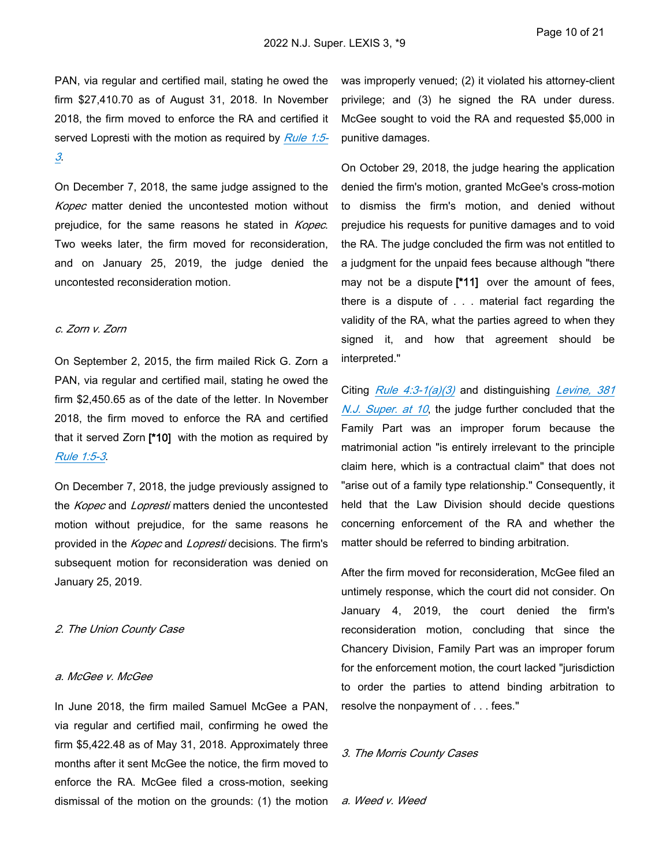PAN, via regular and certified mail, stating he owed the firm \$27,410.70 as of August 31, 2018. In November 2018, the firm moved to enforce the RA and certified it served Lopresti with the motion as required by *[Rule 1:5-](https://advance.lexis.com/api/document?collection=statutes-legislation&id=urn:contentItem:63TW-8CF1-DYB7-W0T4-00000-00&context=1000516) [3](https://advance.lexis.com/api/document?collection=statutes-legislation&id=urn:contentItem:63TW-8CF1-DYB7-W0T4-00000-00&context=1000516)*.

On December 7, 2018, the same judge assigned to the *Kopec* matter denied the uncontested motion without prejudice, for the same reasons he stated in *Kopec*. Two weeks later, the firm moved for reconsideration, and on January 25, 2019, the judge denied the uncontested reconsideration motion.

#### *c. Zorn v. Zorn*

On September 2, 2015, the firm mailed Rick G. Zorn a PAN, via regular and certified mail, stating he owed the firm \$2,450.65 as of the date of the letter. In November 2018, the firm moved to enforce the RA and certified that it served Zorn **[\*10]** with the motion as required by *[Rule 1:5-3](https://advance.lexis.com/api/document?collection=statutes-legislation&id=urn:contentItem:63TW-8CF1-DYB7-W0T4-00000-00&context=1000516)*.

On December 7, 2018, the judge previously assigned to the *Kopec* and *Lopresti* matters denied the uncontested motion without prejudice, for the same reasons he provided in the *Kopec* and *Lopresti* decisions. The firm's subsequent motion for reconsideration was denied on January 25, 2019.

#### *2. The Union County Case*

#### *a. McGee v. McGee*

In June 2018, the firm mailed Samuel McGee a PAN, via regular and certified mail, confirming he owed the firm \$5,422.48 as of May 31, 2018. Approximately three months after it sent McGee the notice, the firm moved to enforce the RA. McGee filed a cross-motion, seeking dismissal of the motion on the grounds: (1) the motion

was improperly venued; (2) it violated his attorney-client privilege; and (3) he signed the RA under duress. McGee sought to void the RA and requested \$5,000 in punitive damages.

On October 29, 2018, the judge hearing the application denied the firm's motion, granted McGee's cross-motion to dismiss the firm's motion, and denied without prejudice his requests for punitive damages and to void the RA. The judge concluded the firm was not entitled to a judgment for the unpaid fees because although "there may not be a dispute **[\*11]** over the amount of fees, there is a dispute of . . . material fact regarding the validity of the RA, what the parties agreed to when they signed it, and how that agreement should be interpreted."

Citing *[Rule 4:3-1\(a\)\(3\)](https://advance.lexis.com/api/document?collection=statutes-legislation&id=urn:contentItem:63TW-8CF1-DYB7-W1R5-00000-00&context=1000516)* and distinguishing *[Levine, 381](https://advance.lexis.com/api/document?collection=cases&id=urn:contentItem:4HB6-6MK0-0039-44B6-00000-00&context=1000516)  [N.J. Super. at 10](https://advance.lexis.com/api/document?collection=cases&id=urn:contentItem:4HB6-6MK0-0039-44B6-00000-00&context=1000516)*, the judge further concluded that the Family Part was an improper forum because the matrimonial action "is entirely irrelevant to the principle claim here, which is a contractual claim" that does not "arise out of a family type relationship." Consequently, it held that the Law Division should decide questions concerning enforcement of the RA and whether the matter should be referred to binding arbitration.

After the firm moved for reconsideration, McGee filed an untimely response, which the court did not consider. On January 4, 2019, the court denied the firm's reconsideration motion, concluding that since the Chancery Division, Family Part was an improper forum for the enforcement motion, the court lacked "jurisdiction to order the parties to attend binding arbitration to resolve the nonpayment of . . . fees."

### *3. The Morris County Cases*

*a. Weed v. Weed*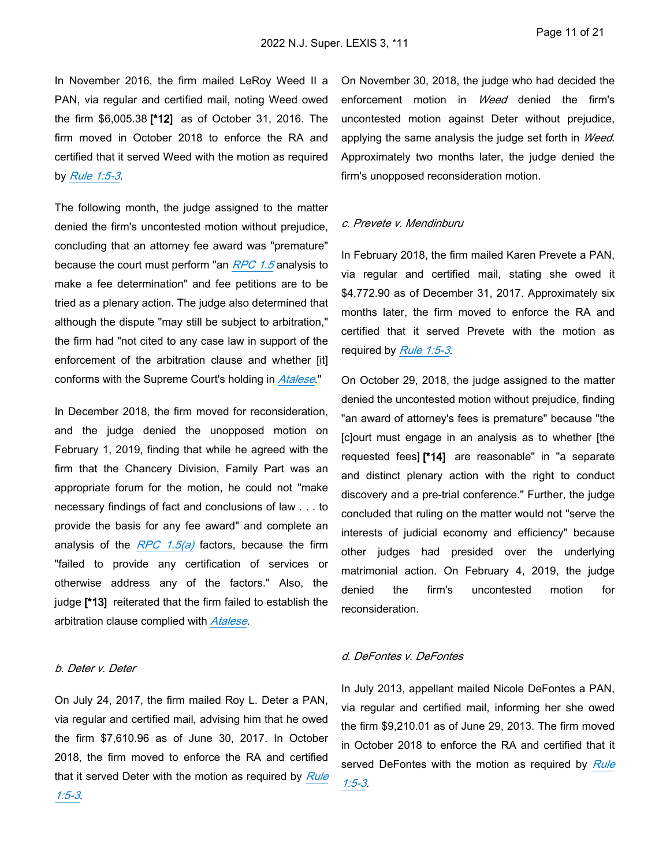In November 2016, the firm mailed LeRoy Weed II a PAN, via regular and certified mail, noting Weed owed the firm \$6,005.38 **[\*12]** as of October 31, 2016. The firm moved in October 2018 to enforce the RA and certified that it served Weed with the motion as required by *[Rule 1:5-3](https://advance.lexis.com/api/document?collection=statutes-legislation&id=urn:contentItem:63TW-8CF1-DYB7-W0T4-00000-00&context=1000516)*.

The following month, the judge assigned to the matter denied the firm's uncontested motion without prejudice, concluding that an attorney fee award was "premature" because the court must perform "an *[RPC 1.5](https://advance.lexis.com/api/document?collection=statutes-legislation&id=urn:contentItem:63TW-8CF1-DYB7-W169-00000-00&context=1000516)* analysis to make a fee determination" and fee petitions are to be tried as a plenary action. The judge also determined that although the dispute "may still be subject to arbitration," the firm had "not cited to any case law in support of the enforcement of the arbitration clause and whether [it] conforms with the Supreme Court's holding in *[Atalese](https://advance.lexis.com/api/document?collection=cases&id=urn:contentItem:5D6K-NRP1-F04H-V33J-00000-00&context=1000516)*."

In December 2018, the firm moved for reconsideration, and the judge denied the unopposed motion on February 1, 2019, finding that while he agreed with the firm that the Chancery Division, Family Part was an appropriate forum for the motion, he could not "make necessary findings of fact and conclusions of law . . . to provide the basis for any fee award" and complete an analysis of the *[RPC 1.5\(a\)](https://advance.lexis.com/api/document?collection=statutes-legislation&id=urn:contentItem:63TW-8CF1-DYB7-W169-00000-00&context=1000516)* factors, because the firm "failed to provide any certification of services or otherwise address any of the factors." Also, the judge **[\*13]** reiterated that the firm failed to establish the arbitration clause complied with *[Atalese](https://advance.lexis.com/api/document?collection=cases&id=urn:contentItem:5D6K-NRP1-F04H-V33J-00000-00&context=1000516)*.

### *b. Deter v. Deter*

On July 24, 2017, the firm mailed Roy L. Deter a PAN, via regular and certified mail, advising him that he owed the firm \$7,610.96 as of June 30, 2017. In October 2018, the firm moved to enforce the RA and certified that it served Deter with the motion as required by *[Rule](https://advance.lexis.com/api/document?collection=statutes-legislation&id=urn:contentItem:63TW-8CF1-DYB7-W0T4-00000-00&context=1000516)  [1:5-3](https://advance.lexis.com/api/document?collection=statutes-legislation&id=urn:contentItem:63TW-8CF1-DYB7-W0T4-00000-00&context=1000516)*.

On November 30, 2018, the judge who had decided the enforcement motion in *Weed* denied the firm's uncontested motion against Deter without prejudice, applying the same analysis the judge set forth in *Weed*. Approximately two months later, the judge denied the firm's unopposed reconsideration motion.

#### *c. Prevete v. Mendinburu*

In February 2018, the firm mailed Karen Prevete a PAN, via regular and certified mail, stating she owed it \$4,772.90 as of December 31, 2017. Approximately six months later, the firm moved to enforce the RA and certified that it served Prevete with the motion as required by *[Rule 1:5-3](https://advance.lexis.com/api/document?collection=statutes-legislation&id=urn:contentItem:63TW-8CF1-DYB7-W0T4-00000-00&context=1000516)*.

On October 29, 2018, the judge assigned to the matter denied the uncontested motion without prejudice, finding "an award of attorney's fees is premature" because "the [c]ourt must engage in an analysis as to whether [the requested fees] **[\*14]** are reasonable" in "a separate and distinct plenary action with the right to conduct discovery and a pre-trial conference." Further, the judge concluded that ruling on the matter would not "serve the interests of judicial economy and efficiency" because other judges had presided over the underlying matrimonial action. On February 4, 2019, the judge denied the firm's uncontested motion for reconsideration.

#### *d. DeFontes v. DeFontes*

In July 2013, appellant mailed Nicole DeFontes a PAN, via regular and certified mail, informing her she owed the firm \$9,210.01 as of June 29, 2013. The firm moved in October 2018 to enforce the RA and certified that it served DeFontes with the motion as required by *[Rule](https://advance.lexis.com/api/document?collection=statutes-legislation&id=urn:contentItem:63TW-8CF1-DYB7-W0T4-00000-00&context=1000516)  [1:5-3](https://advance.lexis.com/api/document?collection=statutes-legislation&id=urn:contentItem:63TW-8CF1-DYB7-W0T4-00000-00&context=1000516)*.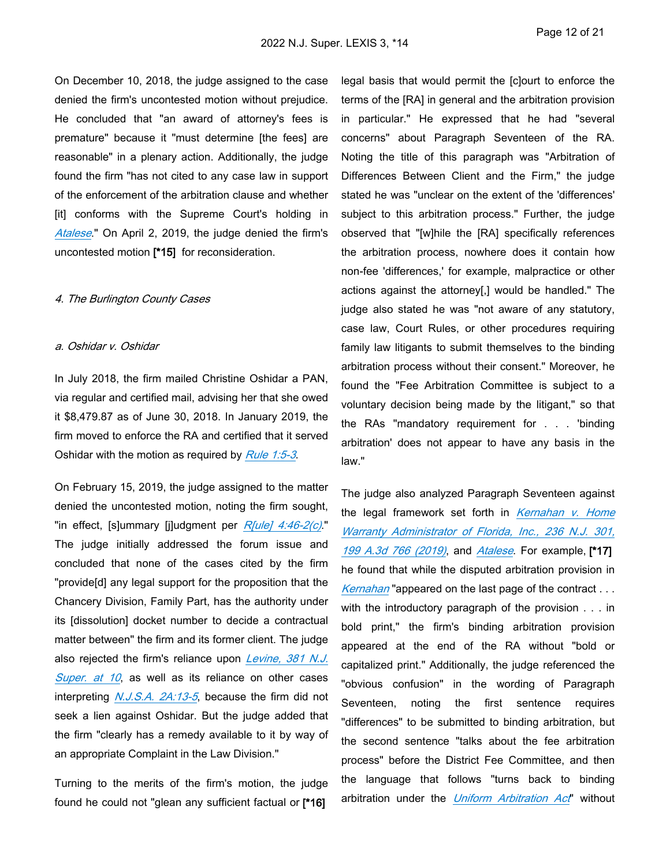On December 10, 2018, the judge assigned to the case denied the firm's uncontested motion without prejudice. He concluded that "an award of attorney's fees is premature" because it "must determine [the fees] are reasonable" in a plenary action. Additionally, the judge found the firm "has not cited to any case law in support of the enforcement of the arbitration clause and whether [it] conforms with the Supreme Court's holding in *[Atalese](https://advance.lexis.com/api/document?collection=cases&id=urn:contentItem:5D6K-NRP1-F04H-V33J-00000-00&context=1000516)*." On April 2, 2019, the judge denied the firm's uncontested motion **[\*15]** for reconsideration.

#### *4. The Burlington County Cases*

#### *a. Oshidar v. Oshidar*

In July 2018, the firm mailed Christine Oshidar a PAN, via regular and certified mail, advising her that she owed it \$8,479.87 as of June 30, 2018. In January 2019, the firm moved to enforce the RA and certified that it served Oshidar with the motion as required by *[Rule 1:5-3](https://advance.lexis.com/api/document?collection=statutes-legislation&id=urn:contentItem:63TW-8CF1-DYB7-W0T4-00000-00&context=1000516)*.

On February 15, 2019, the judge assigned to the matter denied the uncontested motion, noting the firm sought, "in effect, [s]ummary [j]udgment per *[R\[ule\] 4:46-2\(c\)](https://advance.lexis.com/api/document?collection=statutes-legislation&id=urn:contentItem:63TW-8CF1-DYB7-W207-00000-00&context=1000516)*." The judge initially addressed the forum issue and concluded that none of the cases cited by the firm "provide[d] any legal support for the proposition that the Chancery Division, Family Part, has the authority under its [dissolution] docket number to decide a contractual matter between" the firm and its former client. The judge also rejected the firm's reliance upon *[Levine, 381 N.J.](https://advance.lexis.com/api/document?collection=cases&id=urn:contentItem:4HB6-6MK0-0039-44B6-00000-00&context=1000516)  [Super. at 10](https://advance.lexis.com/api/document?collection=cases&id=urn:contentItem:4HB6-6MK0-0039-44B6-00000-00&context=1000516)*, as well as its reliance on other cases interpreting *[N.J.S.A. 2A:13-5](https://advance.lexis.com/api/document?collection=statutes-legislation&id=urn:contentItem:5F0Y-BKJ1-6F13-04D5-00000-00&context=1000516)*, because the firm did not seek a lien against Oshidar. But the judge added that the firm "clearly has a remedy available to it by way of an appropriate Complaint in the Law Division."

Turning to the merits of the firm's motion, the judge found he could not "glean any sufficient factual or **[\*16]** 

legal basis that would permit the [c]ourt to enforce the terms of the [RA] in general and the arbitration provision in particular." He expressed that he had "several concerns" about Paragraph Seventeen of the RA. Noting the title of this paragraph was "Arbitration of Differences Between Client and the Firm," the judge stated he was "unclear on the extent of the 'differences' subject to this arbitration process." Further, the judge observed that "[w]hile the [RA] specifically references the arbitration process, nowhere does it contain how non-fee 'differences,' for example, malpractice or other actions against the attorney[,] would be handled." The judge also stated he was "not aware of any statutory, case law, Court Rules, or other procedures requiring family law litigants to submit themselves to the binding arbitration process without their consent." Moreover, he found the "Fee Arbitration Committee is subject to a voluntary decision being made by the litigant," so that the RAs "mandatory requirement for . . . 'binding arbitration' does not appear to have any basis in the law."

The judge also analyzed Paragraph Seventeen against the legal framework set forth in *[Kernahan v. Home](https://advance.lexis.com/api/document?collection=cases&id=urn:contentItem:5V5C-X311-F06F-215X-00000-00&context=1000516)  [Warranty Administrator of Florida, Inc., 236 N.J. 301,](https://advance.lexis.com/api/document?collection=cases&id=urn:contentItem:5V5C-X311-F06F-215X-00000-00&context=1000516)  [199 A.3d 766 \(2019\)](https://advance.lexis.com/api/document?collection=cases&id=urn:contentItem:5V5C-X311-F06F-215X-00000-00&context=1000516)*, and *[Atalese](https://advance.lexis.com/api/document?collection=cases&id=urn:contentItem:5D6K-NRP1-F04H-V33J-00000-00&context=1000516)*. For example, **[\*17]**  he found that while the disputed arbitration provision in *[Kernahan](https://advance.lexis.com/api/document?collection=cases&id=urn:contentItem:5V5C-X311-F06F-215X-00000-00&context=1000516)* "appeared on the last page of the contract . . . with the introductory paragraph of the provision . . . in bold print," the firm's binding arbitration provision appeared at the end of the RA without "bold or capitalized print." Additionally, the judge referenced the "obvious confusion" in the wording of Paragraph Seventeen, noting the first sentence requires "differences" to be submitted to binding arbitration, but the second sentence "talks about the fee arbitration process" before the District Fee Committee, and then the language that follows "turns back to binding arbitration under the *[Uniform Arbitration Act](https://advance.lexis.com/api/document?collection=statutes-legislation&id=urn:contentItem:5F0Y-BKK1-6F13-03YY-00000-00&context=1000516)*" without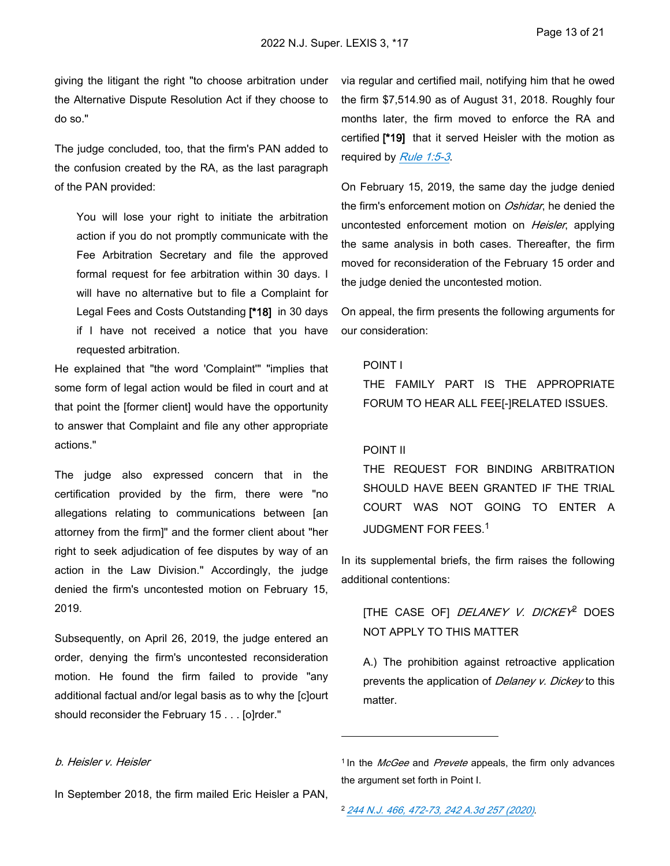giving the litigant the right "to choose arbitration under the Alternative Dispute Resolution Act if they choose to do so."

The judge concluded, too, that the firm's PAN added to the confusion created by the RA, as the last paragraph of the PAN provided:

You will lose your right to initiate the arbitration action if you do not promptly communicate with the Fee Arbitration Secretary and file the approved formal request for fee arbitration within 30 days. I will have no alternative but to file a Complaint for Legal Fees and Costs Outstanding **[\*18]** in 30 days if I have not received a notice that you have requested arbitration.

He explained that "the word 'Complaint'" "implies that some form of legal action would be filed in court and at that point the [former client] would have the opportunity to answer that Complaint and file any other appropriate actions."

The judge also expressed concern that in the certification provided by the firm, there were "no allegations relating to communications between [an attorney from the firm]" and the former client about "her right to seek adjudication of fee disputes by way of an action in the Law Division." Accordingly, the judge denied the firm's uncontested motion on February 15, 2019.

Subsequently, on April 26, 2019, the judge entered an order, denying the firm's uncontested reconsideration motion. He found the firm failed to provide "any additional factual and/or legal basis as to why the [c]ourt should reconsider the February 15 . . . [o]rder."

via regular and certified mail, notifying him that he owed the firm \$7,514.90 as of August 31, 2018. Roughly four months later, the firm moved to enforce the RA and certified **[\*19]** that it served Heisler with the motion as required by *[Rule 1:5-3](https://advance.lexis.com/api/document?collection=statutes-legislation&id=urn:contentItem:63TW-8CF1-DYB7-W0T4-00000-00&context=1000516)*.

On February 15, 2019, the same day the judge denied the firm's enforcement motion on *Oshidar*, he denied the uncontested enforcement motion on *Heisler*, applying the same analysis in both cases. Thereafter, the firm moved for reconsideration of the February 15 order and the judge denied the uncontested motion.

On appeal, the firm presents the following arguments for our consideration:

### POINT I

THE FAMILY PART IS THE APPROPRIATE FORUM TO HEAR ALL FEE[-]RELATED ISSUES.

#### POINT II

THE REQUEST FOR BINDING ARBITRATION SHOULD HAVE BEEN GRANTED IF THE TRIAL COURT WAS NOT GOING TO ENTER A JUDGMENT FOR FEES.<sup>1</sup>

In its supplemental briefs, the firm raises the following additional contentions:

[THE CASE OF] *DELANEY V. DICKEY* 2 DOES NOT APPLY TO THIS MATTER

A.) The prohibition against retroactive application prevents the application of *Delaney v. Dickey* to this matter.

### *b. Heisler v. Heisler*

In September 2018, the firm mailed Eric Heisler a PAN,

<sup>2</sup>*[244 N.J. 466, 472-73, 242 A.3d 257 \(2020\)](https://advance.lexis.com/api/document?collection=cases&id=urn:contentItem:61K8-9DS1-FC1F-M2MS-00000-00&context=1000516)*.

<sup>&</sup>lt;sup>1</sup> In the *McGee* and *Prevete* appeals, the firm only advances the argument set forth in Point I.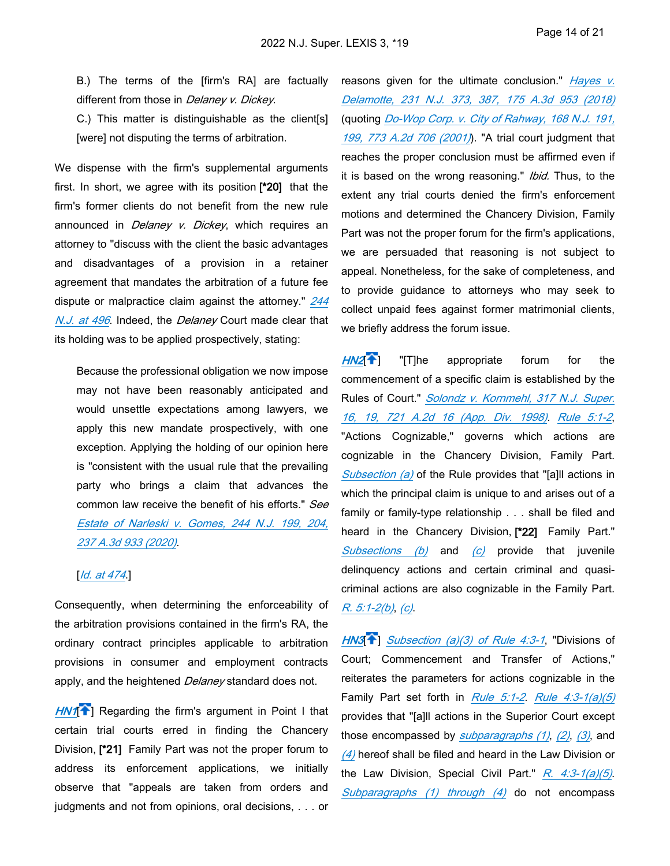B.) The terms of the [firm's RA] are factually different from those in *Delaney v. Dickey*.

C.) This matter is distinguishable as the client[s] [were] not disputing the terms of arbitration.

We dispense with the firm's supplemental arguments first. In short, we agree with its position **[\*20]** that the firm's former clients do not benefit from the new rule announced in *Delaney v. Dickey*, which requires an attorney to "discuss with the client the basic advantages and disadvantages of a provision in a retainer agreement that mandates the arbitration of a future fee dispute or malpractice claim against the attorney." *[244](https://advance.lexis.com/api/document?collection=cases&id=urn:contentItem:61K8-9DS1-FC1F-M2MS-00000-00&context=1000516)  [N.J. at 496](https://advance.lexis.com/api/document?collection=cases&id=urn:contentItem:61K8-9DS1-FC1F-M2MS-00000-00&context=1000516)*. Indeed, the *Delaney* Court made clear that its holding was to be applied prospectively, stating:

Because the professional obligation we now impose may not have been reasonably anticipated and would unsettle expectations among lawyers, we apply this new mandate prospectively, with one exception. Applying the holding of our opinion here is "consistent with the usual rule that the prevailing party who brings a claim that advances the common law receive the benefit of his efforts." *See [Estate of Narleski v. Gomes, 244 N.J. 199, 204,](https://advance.lexis.com/api/document?collection=cases&id=urn:contentItem:60W1-2K61-DY89-M1F0-00000-00&context=1000516)  [237 A.3d 933 \(2020\)](https://advance.lexis.com/api/document?collection=cases&id=urn:contentItem:60W1-2K61-DY89-M1F0-00000-00&context=1000516)*.

### [*[Id. at 474](https://advance.lexis.com/api/document?collection=cases&id=urn:contentItem:61K8-9DS1-FC1F-M2MS-00000-00&context=1000516)*.]

Consequently, when determining the enforceability of the arbitration provisions contained in the firm's RA, the ordinary contract principles applicable to arbitration provisions in consumer and employment contracts apply, and the heightened *Delaney* standard does not.

<span id="page-23-0"></span>[HN1](https://advance.lexis.com/api/document?collection=cases&id=urn:contentItem:64HR-WCK1-DYMS-60VY-00000-00&context=1000516&link=clscc1)<sup>[24</sup>] Regarding the firm's argument in Point I that certain trial courts erred in finding the Chancery Division, **[\*21]** Family Part was not the proper forum to address its enforcement applications, we initially observe that "appeals are taken from orders and judgments and not from opinions, oral decisions, . . . or

reasons given for the ultimate conclusion." *[Hayes v.](https://advance.lexis.com/api/document?collection=cases&id=urn:contentItem:5RCS-H7K1-F5DR-230R-00000-00&context=1000516)  [Delamotte, 231 N.J. 373, 387, 175 A.3d 953 \(2018\)](https://advance.lexis.com/api/document?collection=cases&id=urn:contentItem:5RCS-H7K1-F5DR-230R-00000-00&context=1000516)* (quoting *[Do-Wop Corp. v. City of Rahway, 168 N.J. 191,](https://advance.lexis.com/api/document?collection=cases&id=urn:contentItem:43CT-0JC0-0039-4326-00000-00&context=1000516)  [199, 773 A.2d 706 \(2001\)](https://advance.lexis.com/api/document?collection=cases&id=urn:contentItem:43CT-0JC0-0039-4326-00000-00&context=1000516)*). "A trial court judgment that reaches the proper conclusion must be affirmed even if it is based on the wrong reasoning." *Ibid.* Thus, to the extent any trial courts denied the firm's enforcement motions and determined the Chancery Division, Family Part was not the proper forum for the firm's applications, we are persuaded that reasoning is not subject to appeal. Nonetheless, for the sake of completeness, and to provide guidance to attorneys who may seek to collect unpaid fees against former matrimonial clients, we briefly address the forum issue.

<span id="page-23-1"></span>*[HN2](https://advance.lexis.com/api/document?collection=cases&id=urn:contentItem:64HR-WCK1-DYMS-60VY-00000-00&context=1000516&link=clscc2)*[ ] "[T]he appropriate forum for the commencement of a specific claim is established by the Rules of Court." *[Solondz v. Kornmehl, 317 N.J. Super.](https://advance.lexis.com/api/document?collection=cases&id=urn:contentItem:3VBH-7YF0-0039-402H-00000-00&context=1000516)  [16, 19, 721 A.2d 16 \(App. Div. 1998\)](https://advance.lexis.com/api/document?collection=cases&id=urn:contentItem:3VBH-7YF0-0039-402H-00000-00&context=1000516)*. *[Rule 5:1-2](https://advance.lexis.com/api/document?collection=statutes-legislation&id=urn:contentItem:63TW-8CF1-DYB7-W2BD-00000-00&context=1000516)*, "Actions Cognizable," governs which actions are cognizable in the Chancery Division, Family Part. *[Subsection \(a\)](https://advance.lexis.com/api/document?collection=statutes-legislation&id=urn:contentItem:63TW-8CF1-DYB7-W2BD-00000-00&context=1000516)* of the Rule provides that "[a]ll actions in which the principal claim is unique to and arises out of a family or family-type relationship . . . shall be filed and heard in the Chancery Division, **[\*22]** Family Part." *[Subsections \(b\)](https://advance.lexis.com/api/document?collection=statutes-legislation&id=urn:contentItem:63TW-8CF1-DYB7-W2BD-00000-00&context=1000516)* and *[\(c\)](https://advance.lexis.com/api/document?collection=statutes-legislation&id=urn:contentItem:63TW-8CF1-DYB7-W2BD-00000-00&context=1000516)* provide that juvenile delinquency actions and certain criminal and quasicriminal actions are also cognizable in the Family Part. *[R. 5:1-2\(b\)](https://advance.lexis.com/api/document?collection=statutes-legislation&id=urn:contentItem:63TW-8CF1-DYB7-W2BD-00000-00&context=1000516)*, *[\(c\)](https://advance.lexis.com/api/document?collection=statutes-legislation&id=urn:contentItem:63TW-8CF1-DYB7-W2BD-00000-00&context=1000516)*.  $\frac{1}{2}$  mule<br>  $\frac{1}{2}$ , cti gn<br>  $\frac{1}{2}$  ic mile ar<br>  $\frac{1}{2}$  in miles<br>  $\frac{1}{2}$  w3  $+$  he contributed that  $\frac{1}{1-x}$   $+$ 

<span id="page-23-2"></span>*HN3*[ ] *[Subsection \(a\)\(3\) of Rule 4:3-1](https://advance.lexis.com/api/document?collection=statutes-legislation&id=urn:contentItem:63TW-8CF1-DYB7-W1R5-00000-00&context=1000516)*, "Divisions of Court; Commencement and Transfer of Actions," reiterates the parameters for actions cognizable in the Family Part set forth in *[Rule 5:1-2](https://advance.lexis.com/api/document?collection=statutes-legislation&id=urn:contentItem:63TW-8CF1-DYB7-W2BD-00000-00&context=1000516)*. *[Rule 4:3-1\(a\)\(5\)](https://advance.lexis.com/api/document?collection=statutes-legislation&id=urn:contentItem:63TW-8CF1-DYB7-W1R5-00000-00&context=1000516)* provides that "[a]ll actions in the Superior Court except those encompassed by *[subparagraphs \(1\)](https://advance.lexis.com/api/document?collection=statutes-legislation&id=urn:contentItem:63TW-8CF1-DYB7-W1R5-00000-00&context=1000516)*, *[\(2\)](https://advance.lexis.com/api/document?collection=statutes-legislation&id=urn:contentItem:63TW-8CF1-DYB7-W1R5-00000-00&context=1000516)*, *[\(3\)](https://advance.lexis.com/api/document?collection=statutes-legislation&id=urn:contentItem:63TW-8CF1-DYB7-W1R5-00000-00&context=1000516)*, and *[\(4\)](https://advance.lexis.com/api/document?collection=statutes-legislation&id=urn:contentItem:63TW-8CF1-DYB7-W1R5-00000-00&context=1000516)* hereof shall be filed and heard in the Law Division or the Law Division, Special Civil Part." *[R. 4:3-1\(a\)\(5\)](https://advance.lexis.com/api/document?collection=statutes-legislation&id=urn:contentItem:63TW-8CF1-DYB7-W1R5-00000-00&context=1000516)*. *[Subparagraphs \(1\) through \(4\)](https://advance.lexis.com/api/document?collection=statutes-legislation&id=urn:contentItem:63TW-8CF1-DYB7-W1R5-00000-00&context=1000516)* do not encompass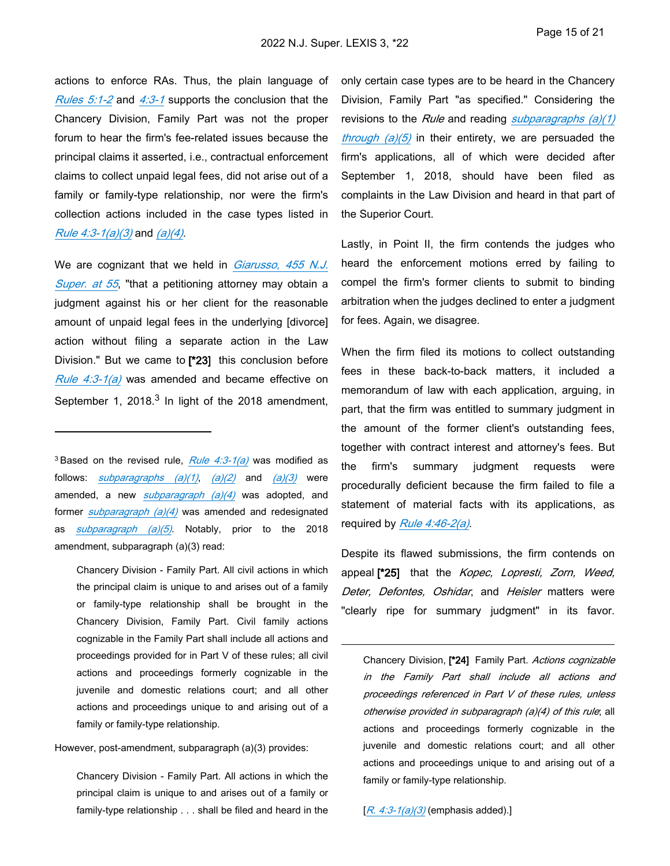actions to enforce RAs. Thus, the plain language of *[Rules 5:1-2](https://advance.lexis.com/api/document?collection=statutes-legislation&id=urn:contentItem:63TW-8CF1-DYB7-W2BD-00000-00&context=1000516)* and *[4:3-1](https://advance.lexis.com/api/document?collection=statutes-legislation&id=urn:contentItem:63TW-8CF1-DYB7-W1R5-00000-00&context=1000516)* supports the conclusion that the Chancery Division, Family Part was not the proper forum to hear the firm's fee-related issues because the principal claims it asserted, i.e., contractual enforcement claims to collect unpaid legal fees, did not arise out of a family or family-type relationship, nor were the firm's collection actions included in the case types listed in *[Rule 4:3-1\(a\)\(3\)](https://advance.lexis.com/api/document?collection=statutes-legislation&id=urn:contentItem:63TW-8CF1-DYB7-W1R5-00000-00&context=1000516)* and *[\(a\)\(4\)](https://advance.lexis.com/api/document?collection=statutes-legislation&id=urn:contentItem:63TW-8CF1-DYB7-W1R5-00000-00&context=1000516)*.

We are cognizant that we held in *[Giarusso, 455 N.J.](https://advance.lexis.com/api/document?collection=cases&id=urn:contentItem:5SF7-1WN1-F06F-209K-00000-00&context=1000516)  [Super. at 55](https://advance.lexis.com/api/document?collection=cases&id=urn:contentItem:5SF7-1WN1-F06F-209K-00000-00&context=1000516)*, "that a petitioning attorney may obtain a judgment against his or her client for the reasonable amount of unpaid legal fees in the underlying [divorce] action without filing a separate action in the Law Division." But we came to **[\*23]** this conclusion before *[Rule 4:3-1\(a\)](https://advance.lexis.com/api/document?collection=statutes-legislation&id=urn:contentItem:63TW-8CF1-DYB7-W1R5-00000-00&context=1000516)* was amended and became effective on September 1, 2018. $3$  In light of the 2018 amendment,

Chancery Division - Family Part. All civil actions in which the principal claim is unique to and arises out of a family or family-type relationship shall be brought in the Chancery Division, Family Part. Civil family actions cognizable in the Family Part shall include all actions and proceedings provided for in Part V of these rules; all civil actions and proceedings formerly cognizable in the juvenile and domestic relations court; and all other actions and proceedings unique to and arising out of a family or family-type relationship.

However, post-amendment, subparagraph (a)(3) provides:

Chancery Division - Family Part. All actions in which the principal claim is unique to and arises out of a family or family-type relationship . . . shall be filed and heard in the only certain case types are to be heard in the Chancery Division, Family Part "as specified." Considering the revisions to the *Rule* and reading *[subparagraphs \(a\)\(1\)](https://advance.lexis.com/api/document?collection=statutes-legislation&id=urn:contentItem:63TW-8CF1-DYB7-W1R5-00000-00&context=1000516)  [through \(a\)\(5\)](https://advance.lexis.com/api/document?collection=statutes-legislation&id=urn:contentItem:63TW-8CF1-DYB7-W1R5-00000-00&context=1000516)* in their entirety, we are persuaded the firm's applications, all of which were decided after September 1, 2018, should have been filed as complaints in the Law Division and heard in that part of the Superior Court.

Lastly, in Point II, the firm contends the judges who heard the enforcement motions erred by failing to compel the firm's former clients to submit to binding arbitration when the judges declined to enter a judgment for fees. Again, we disagree.

When the firm filed its motions to collect outstanding fees in these back-to-back matters, it included a memorandum of law with each application, arguing, in part, that the firm was entitled to summary judgment in the amount of the former client's outstanding fees, together with contract interest and attorney's fees. But the firm's summary judgment requests were procedurally deficient because the firm failed to file a statement of material facts with its applications, as required by *[Rule 4:46-2\(a\)](https://advance.lexis.com/api/document?collection=statutes-legislation&id=urn:contentItem:63TW-8CF1-DYB7-W207-00000-00&context=1000516)*.

Despite its flawed submissions, the firm contends on appeal **[\*25]** that the *Kopec, Lopresti, Zorn, Weed, Deter, Defontes, Oshidar*, and *Heisler* matters were "clearly ripe for summary judgment" in its favor.

Chancery Division, **[\*24]** Family Part. *Actions cognizable in the Family Part shall include all actions and proceedings referenced in Part V of these rules, unless otherwise provided in subparagraph (a)(4) of this rule*; all actions and proceedings formerly cognizable in the juvenile and domestic relations court; and all other actions and proceedings unique to and arising out of a family or family-type relationship.

[*[R. 4:3-1\(a\)\(3\)](https://advance.lexis.com/api/document?collection=statutes-legislation&id=urn:contentItem:63TW-8CF1-DYB7-W1R5-00000-00&context=1000516)* (emphasis added).]

<sup>3</sup>Based on the revised rule, *[Rule 4:3-1\(a\)](https://advance.lexis.com/api/document?collection=statutes-legislation&id=urn:contentItem:63TW-8CF1-DYB7-W1R5-00000-00&context=1000516)* was modified as follows: *[subparagraphs \(a\)\(1\)](https://advance.lexis.com/api/document?collection=statutes-legislation&id=urn:contentItem:63TW-8CF1-DYB7-W1R5-00000-00&context=1000516)*, *[\(a\)\(2\)](https://advance.lexis.com/api/document?collection=statutes-legislation&id=urn:contentItem:63TW-8CF1-DYB7-W1R5-00000-00&context=1000516)* and *[\(a\)\(3\)](https://advance.lexis.com/api/document?collection=statutes-legislation&id=urn:contentItem:63TW-8CF1-DYB7-W1R5-00000-00&context=1000516)* were amended, a new *[subparagraph \(a\)\(4\)](https://advance.lexis.com/api/document?collection=statutes-legislation&id=urn:contentItem:63TW-8CF1-DYB7-W1R5-00000-00&context=1000516)* was adopted, and former *[subparagraph \(a\)\(4\)](https://advance.lexis.com/api/document?collection=statutes-legislation&id=urn:contentItem:63TW-8CF1-DYB7-W1R5-00000-00&context=1000516)* was amended and redesignated as *[subparagraph \(a\)\(5\)](https://advance.lexis.com/api/document?collection=statutes-legislation&id=urn:contentItem:63TW-8CF1-DYB7-W1R5-00000-00&context=1000516)*. Notably, prior to the 2018 amendment, subparagraph (a)(3) read: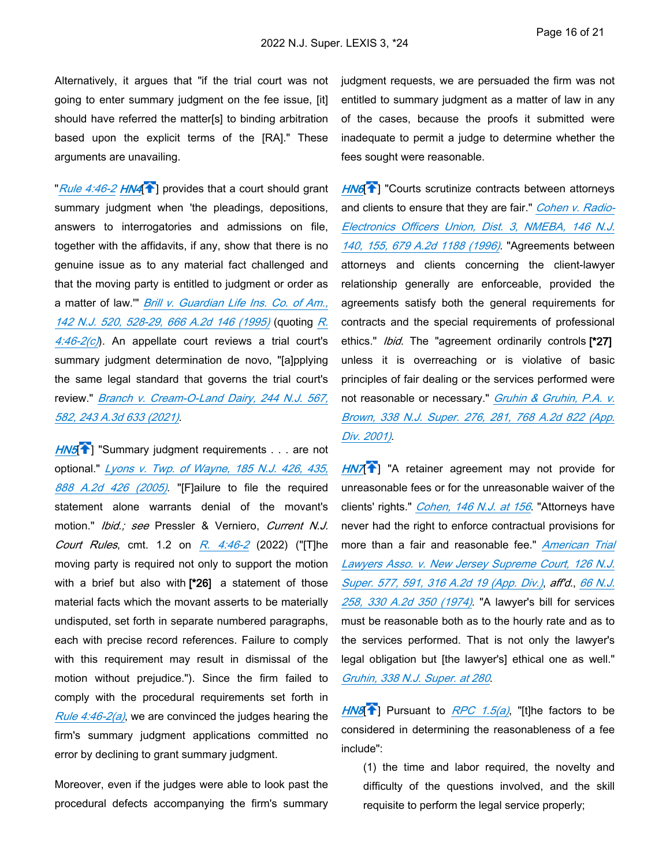Alternatively, it argues that "if the trial court was not going to enter summary judgment on the fee issue, [it] should have referred the matter[s] to binding arbitration based upon the explicit terms of the [RA]." These arguments are unavailing.

<span id="page-25-0"></span>"*[Rule 4:46-2](https://advance.lexis.com/api/document?collection=statutes-legislation&id=urn:contentItem:63TW-8CF1-DYB7-W207-00000-00&context=1000516) [HN4](https://advance.lexis.com/api/document?collection=cases&id=urn:contentItem:64HR-WCK1-DYMS-60VY-00000-00&context=1000516&link=clscc4)*[ ] provides that a court should grant summary judgment when 'the pleadings, depositions, answers to interrogatories and admissions on file, together with the affidavits, if any, show that there is no genuine issue as to any material fact challenged and that the moving party is entitled to judgment or order as a matter of law.'" *[Brill v. Guardian Life Ins. Co. of Am.,](https://advance.lexis.com/api/document?collection=cases&id=urn:contentItem:3S3J-VDG0-003C-P1W8-00000-00&context=1000516)  [142 N.J. 520, 528-29, 666 A.2d 146 \(1995\)](https://advance.lexis.com/api/document?collection=cases&id=urn:contentItem:3S3J-VDG0-003C-P1W8-00000-00&context=1000516)* (quoting *[R.](https://advance.lexis.com/api/document?collection=statutes-legislation&id=urn:contentItem:63TW-8CF1-DYB7-W207-00000-00&context=1000516)  [4:46-2\(c\)](https://advance.lexis.com/api/document?collection=statutes-legislation&id=urn:contentItem:63TW-8CF1-DYB7-W207-00000-00&context=1000516)*). An appellate court reviews a trial court's summary judgment determination de novo, "[a]pplying the same legal standard that governs the trial court's review." *[Branch v. Cream-O-Land Dairy, 244 N.J. 567,](https://advance.lexis.com/api/document?collection=cases&id=urn:contentItem:61S5-SVR1-JSC5-M0JH-00000-00&context=1000516)  [582, 243 A.3d 633 \(2021\)](https://advance.lexis.com/api/document?collection=cases&id=urn:contentItem:61S5-SVR1-JSC5-M0JH-00000-00&context=1000516)*.

**[HN5](https://advance.lexis.com/api/document?collection=cases&id=urn:contentItem:64HR-WCK1-DYMS-60VY-00000-00&context=1000516&link=clscc5)<sup>1</sup>** "Summary judgment requirements . . . are not optional." *[Lyons v. Twp. of Wayne, 185 N.J. 426, 435,](https://advance.lexis.com/api/document?collection=cases&id=urn:contentItem:4HX5-1R40-0039-444H-00000-00&context=1000516)  [888 A.2d 426 \(2005\)](https://advance.lexis.com/api/document?collection=cases&id=urn:contentItem:4HX5-1R40-0039-444H-00000-00&context=1000516)*. "[F]ailure to file the required statement alone warrants denial of the movant's motion." *Ibid.; see* Pressler & Verniero, *Current N.J. Court Rules*, cmt. 1.2 on *[R. 4:46-2](https://advance.lexis.com/api/document?collection=statutes-legislation&id=urn:contentItem:63TW-8CF1-DYB7-W207-00000-00&context=1000516)* (2022) ("[T]he moving party is required not only to support the motion with a brief but also with **[\*26]** a statement of those material facts which the movant asserts to be materially undisputed, set forth in separate numbered paragraphs, each with precise record references. Failure to comply with this requirement may result in dismissal of the motion without prejudice."). Since the firm failed to comply with the procedural requirements set forth in *[Rule 4:46-2\(a\)](https://advance.lexis.com/api/document?collection=statutes-legislation&id=urn:contentItem:63TW-8CF1-DYB7-W207-00000-00&context=1000516)*, we are convinced the judges hearing the firm's summary judgment applications committed no error by declining to grant summary judgment.

Moreover, even if the judges were able to look past the procedural defects accompanying the firm's summary judgment requests, we are persuaded the firm was not entitled to summary judgment as a matter of law in any of the cases, because the proofs it submitted were inadequate to permit a judge to determine whether the fees sought were reasonable.

**[HN6](https://advance.lexis.com/api/document?collection=cases&id=urn:contentItem:64HR-WCK1-DYMS-60VY-00000-00&context=1000516&link=clscc6)<sup>{\*</sup>**]</sub> "Courts scrutinize contracts between attorneys and clients to ensure that they are fair." *[Cohen v. Radio-](https://advance.lexis.com/api/document?collection=cases&id=urn:contentItem:3S3J-VBT0-003C-P0FV-00000-00&context=1000516)[Electronics Officers Union, Dist. 3, NMEBA, 146 N.J.](https://advance.lexis.com/api/document?collection=cases&id=urn:contentItem:3S3J-VBT0-003C-P0FV-00000-00&context=1000516)  [140, 155, 679 A.2d 1188 \(1996\)](https://advance.lexis.com/api/document?collection=cases&id=urn:contentItem:3S3J-VBT0-003C-P0FV-00000-00&context=1000516)*. "Agreements between attorneys and clients concerning the client-lawyer relationship generally are enforceable, provided the agreements satisfy both the general requirements for contracts and the special requirements of professional ethics." *Ibid.* The "agreement ordinarily controls **[\*27]**  unless it is overreaching or is violative of basic principles of fair dealing or the services performed were not reasonable or necessary." *[Gruhin & Gruhin, P.A. v.](https://advance.lexis.com/api/document?collection=cases&id=urn:contentItem:42MX-TG90-0039-436P-00000-00&context=1000516)  [Brown, 338 N.J. Super. 276, 281, 768 A.2d 822 \(App.](https://advance.lexis.com/api/document?collection=cases&id=urn:contentItem:42MX-TG90-0039-436P-00000-00&context=1000516)  [Div. 2001\)](https://advance.lexis.com/api/document?collection=cases&id=urn:contentItem:42MX-TG90-0039-436P-00000-00&context=1000516)*.

[HN7](https://advance.lexis.com/api/document?collection=cases&id=urn:contentItem:64HR-WCK1-DYMS-60VY-00000-00&context=1000516&link=clscc7)<sup><sup>1</sup>] "A retainer agreement may not provide for</sup> unreasonable fees or for the unreasonable waiver of the clients' rights." *[Cohen, 146 N.J. at 156](https://advance.lexis.com/api/document?collection=cases&id=urn:contentItem:3S3J-VBT0-003C-P0FV-00000-00&context=1000516)*. "Attorneys have never had the right to enforce contractual provisions for more than a fair and reasonable fee." *[American Trial](https://advance.lexis.com/api/document?collection=cases&id=urn:contentItem:3RRR-2D30-003C-N2G2-00000-00&context=1000516)  [Lawyers Asso. v. New Jersey Supreme Court, 126 N.J.](https://advance.lexis.com/api/document?collection=cases&id=urn:contentItem:3RRR-2D30-003C-N2G2-00000-00&context=1000516)  [Super. 577, 591, 316 A.2d 19 \(App. Div.\)](https://advance.lexis.com/api/document?collection=cases&id=urn:contentItem:3RRR-2D30-003C-N2G2-00000-00&context=1000516)*, *aff'd.*, *[66 N.J.](https://advance.lexis.com/api/document?collection=cases&id=urn:contentItem:3RRM-XD90-003C-N33R-00000-00&context=1000516)  [258, 330 A.2d 350 \(1974\)](https://advance.lexis.com/api/document?collection=cases&id=urn:contentItem:3RRM-XD90-003C-N33R-00000-00&context=1000516)*. "A lawyer's bill for services must be reasonable both as to the hourly rate and as to the services performed. That is not only the lawyer's legal obligation but [the lawyer's] ethical one as well." *[Gruhin, 338 N.J. Super. at 280](https://advance.lexis.com/api/document?collection=cases&id=urn:contentItem:42MX-TG90-0039-436P-00000-00&context=1000516)*.

*[HN8](https://advance.lexis.com/api/document?collection=cases&id=urn:contentItem:64HR-WCK1-DYMS-60VY-00000-00&context=1000516&link=clscc8)*[ ] Pursuant to *[RPC 1.5\(a\)](https://advance.lexis.com/api/document?collection=statutes-legislation&id=urn:contentItem:63TW-8CF1-DYB7-W169-00000-00&context=1000516)*, "[t]he factors to be considered in determining the reasonableness of a fee include":

(1) the time and labor required, the novelty and difficulty of the questions involved, and the skill requisite to perform the legal service properly;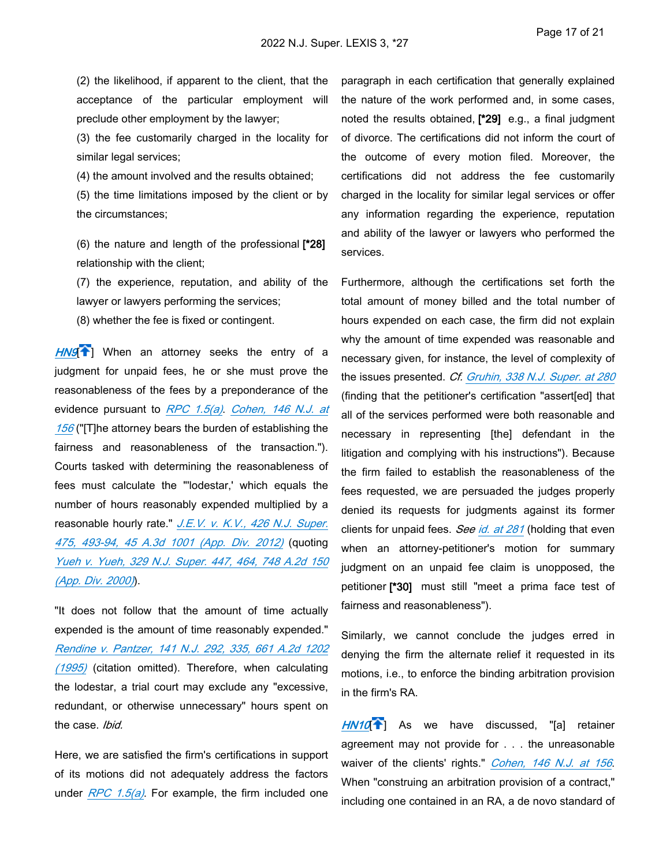(2) the likelihood, if apparent to the client, that the acceptance of the particular employment will preclude other employment by the lawyer;

(3) the fee customarily charged in the locality for similar legal services;

(4) the amount involved and the results obtained;

(5) the time limitations imposed by the client or by the circumstances;

(6) the nature and length of the professional **[\*28]**  relationship with the client;

(7) the experience, reputation, and ability of the lawyer or lawyers performing the services;

(8) whether the fee is fixed or contingent.

[HN9](https://advance.lexis.com/api/document?collection=cases&id=urn:contentItem:64HR-WCK1-DYMS-60VY-00000-00&context=1000516&link=clscc9)<sup>[24</sup>] When an attorney seeks the entry of a judgment for unpaid fees, he or she must prove the reasonableness of the fees by a preponderance of the evidence pursuant to *[RPC 1.5\(a\)](https://advance.lexis.com/api/document?collection=statutes-legislation&id=urn:contentItem:63TW-8CF1-DYB7-W169-00000-00&context=1000516)*. *[Cohen, 146 N.J. at](https://advance.lexis.com/api/document?collection=cases&id=urn:contentItem:3S3J-VBT0-003C-P0FV-00000-00&context=1000516)  [156](https://advance.lexis.com/api/document?collection=cases&id=urn:contentItem:3S3J-VBT0-003C-P0FV-00000-00&context=1000516)* ("[T]he attorney bears the burden of establishing the fairness and reasonableness of the transaction."). Courts tasked with determining the reasonableness of fees must calculate the "'lodestar,' which equals the number of hours reasonably expended multiplied by a reasonable hourly rate." *[J.E.V. v. K.V., 426 N.J. Super.](https://advance.lexis.com/api/document?collection=cases&id=urn:contentItem:55XX-HD61-F04H-W02B-00000-00&context=1000516)  [475, 493-94, 45 A.3d 1001 \(App. Div. 2012\)](https://advance.lexis.com/api/document?collection=cases&id=urn:contentItem:55XX-HD61-F04H-W02B-00000-00&context=1000516)* (quoting *[Yueh v. Yueh, 329 N.J. Super. 447, 464, 748 A.2d 150](https://advance.lexis.com/api/document?collection=cases&id=urn:contentItem:3YYM-4C80-0039-42NR-00000-00&context=1000516)  [\(App. Div. 2000\)](https://advance.lexis.com/api/document?collection=cases&id=urn:contentItem:3YYM-4C80-0039-42NR-00000-00&context=1000516)*).

"It does not follow that the amount of time actually expended is the amount of time reasonably expended." *[Rendine v. Pantzer, 141 N.J. 292, 335, 661 A.2d 1202](https://advance.lexis.com/api/document?collection=cases&id=urn:contentItem:3S3J-VF00-003C-P299-00000-00&context=1000516)  [\(1995\)](https://advance.lexis.com/api/document?collection=cases&id=urn:contentItem:3S3J-VF00-003C-P299-00000-00&context=1000516)* (citation omitted). Therefore, when calculating the lodestar, a trial court may exclude any "excessive, redundant, or otherwise unnecessary" hours spent on the case. *Ibid.*

Here, we are satisfied the firm's certifications in support of its motions did not adequately address the factors under *[RPC 1.5\(a\)](https://advance.lexis.com/api/document?collection=statutes-legislation&id=urn:contentItem:63TW-8CF1-DYB7-W169-00000-00&context=1000516)*. For example, the firm included one

paragraph in each certification that generally explained the nature of the work performed and, in some cases, noted the results obtained, **[\*29]** e.g., a final judgment of divorce. The certifications did not inform the court of the outcome of every motion filed. Moreover, the certifications did not address the fee customarily charged in the locality for similar legal services or offer any information regarding the experience, reputation and ability of the lawyer or lawyers who performed the services.

Furthermore, although the certifications set forth the total amount of money billed and the total number of hours expended on each case, the firm did not explain why the amount of time expended was reasonable and necessary given, for instance, the level of complexity of the issues presented. *Cf. [Gruhin, 338 N.J. Super. at 280](https://advance.lexis.com/api/document?collection=cases&id=urn:contentItem:42MX-TG90-0039-436P-00000-00&context=1000516)* (finding that the petitioner's certification "assert[ed] that all of the services performed were both reasonable and necessary in representing [the] defendant in the litigation and complying with his instructions"). Because the firm failed to establish the reasonableness of the fees requested, we are persuaded the judges properly denied its requests for judgments against its former clients for unpaid fees. *See [id. at 281](https://advance.lexis.com/api/document?collection=cases&id=urn:contentItem:42MX-TG90-0039-436P-00000-00&context=1000516)* (holding that even when an attorney-petitioner's motion for summary judgment on an unpaid fee claim is unopposed, the petitioner **[\*30]** must still "meet a prima face test of fairness and reasonableness").

Similarly, we cannot conclude the judges erred in denying the firm the alternate relief it requested in its motions, i.e., to enforce the binding arbitration provision in the firm's RA.

<span id="page-26-0"></span>[HN10](https://advance.lexis.com/api/document?collection=cases&id=urn:contentItem:64HR-WCK1-DYMS-60VY-00000-00&context=1000516&link=clscc10)<sup><sup>2</sup></sup>] As we have discussed, "[a] retainer agreement may not provide for . . . the unreasonable waiver of the clients' rights." *[Cohen, 146 N.J. at 156](https://advance.lexis.com/api/document?collection=cases&id=urn:contentItem:3S3J-VBT0-003C-P0FV-00000-00&context=1000516)*. When "construing an arbitration provision of a contract," including one contained in an RA, a de novo standard of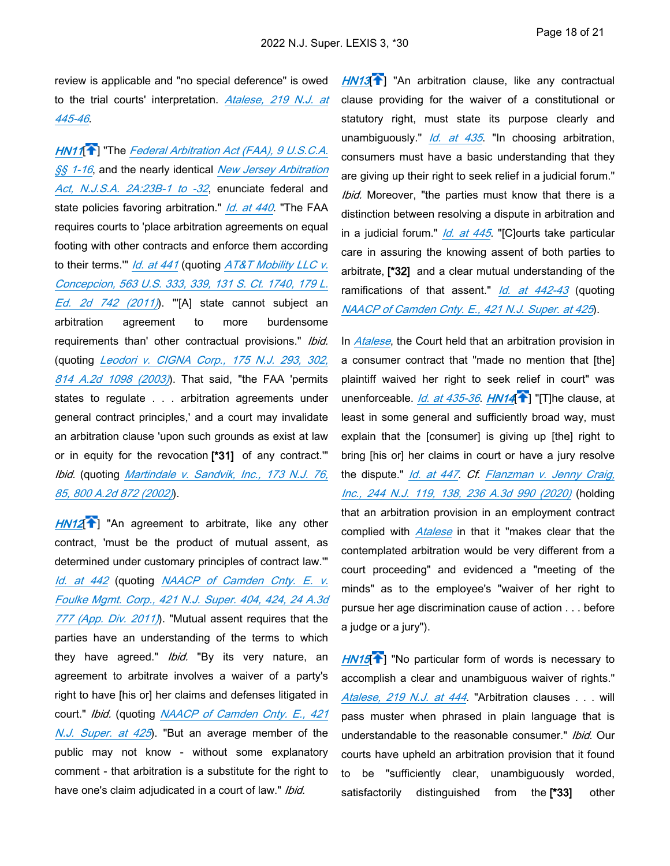review is applicable and "no special deference" is owed to the trial courts' interpretation. *[Atalese, 219 N.J. at](https://advance.lexis.com/api/document?collection=cases&id=urn:contentItem:5D6K-NRP1-F04H-V33J-00000-00&context=1000516)  [445-46](https://advance.lexis.com/api/document?collection=cases&id=urn:contentItem:5D6K-NRP1-F04H-V33J-00000-00&context=1000516)*.

<span id="page-27-0"></span>*[HN11](https://advance.lexis.com/api/document?collection=cases&id=urn:contentItem:64HR-WCK1-DYMS-60VY-00000-00&context=1000516&link=clscc11)*[ ] "The *[Federal Arbitration Act \(FAA\), 9 U.S.C.A.](https://advance.lexis.com/api/document?collection=statutes-legislation&id=urn:contentItem:8S6M-T292-D6RV-H4BK-00000-00&context=1000516)  [§§ 1-16](https://advance.lexis.com/api/document?collection=statutes-legislation&id=urn:contentItem:8S6M-T292-D6RV-H4BK-00000-00&context=1000516)*, and the nearly identical *[New Jersey Arbitration](https://advance.lexis.com/api/document?collection=statutes-legislation&id=urn:contentItem:5F0Y-BKK1-6F13-03YY-00000-00&context=1000516)  [Act, N.J.S.A. 2A:23B-1 to -32](https://advance.lexis.com/api/document?collection=statutes-legislation&id=urn:contentItem:5F0Y-BKK1-6F13-03YY-00000-00&context=1000516)*, enunciate federal and state policies favoring arbitration." *[Id. at 440](https://advance.lexis.com/api/document?collection=cases&id=urn:contentItem:5D6K-NRP1-F04H-V33J-00000-00&context=1000516)*. "The FAA requires courts to 'place arbitration agreements on equal footing with other contracts and enforce them according to their terms.'" *[Id. at 441](https://advance.lexis.com/api/document?collection=cases&id=urn:contentItem:5D6K-NRP1-F04H-V33J-00000-00&context=1000516)* (quoting *[AT&T Mobility LLC v.](https://advance.lexis.com/api/document?collection=cases&id=urn:contentItem:52R4-3PV1-F04K-F2VW-00000-00&context=1000516)  [Concepcion, 563 U.S. 333, 339, 131 S. Ct. 1740, 179 L.](https://advance.lexis.com/api/document?collection=cases&id=urn:contentItem:52R4-3PV1-F04K-F2VW-00000-00&context=1000516)  [Ed. 2d 742 \(2011\)](https://advance.lexis.com/api/document?collection=cases&id=urn:contentItem:52R4-3PV1-F04K-F2VW-00000-00&context=1000516)*). "'[A] state cannot subject an arbitration agreement to more burdensome requirements than' other contractual provisions." *Ibid.* (quoting *[Leodori v. CIGNA Corp., 175 N.J. 293, 302,](https://advance.lexis.com/api/document?collection=cases&id=urn:contentItem:47XF-T4C0-0039-41M2-00000-00&context=1000516)  [814 A.2d 1098 \(2003\)](https://advance.lexis.com/api/document?collection=cases&id=urn:contentItem:47XF-T4C0-0039-41M2-00000-00&context=1000516)*). That said, "the FAA 'permits states to regulate . . . arbitration agreements under general contract principles,' and a court may invalidate an arbitration clause 'upon such grounds as exist at law or in equity for the revocation **[\*31]** of any contract.'" *Ibid.* (quoting *[Martindale v. Sandvik, Inc., 173 N.J. 76,](https://advance.lexis.com/api/document?collection=cases&id=urn:contentItem:469F-SYS0-0039-4325-00000-00&context=1000516)  [85, 800 A.2d 872 \(2002\)](https://advance.lexis.com/api/document?collection=cases&id=urn:contentItem:469F-SYS0-0039-4325-00000-00&context=1000516)*).  $\frac{1}{1}$  i.e. uir ting he  $\frac{2}{1}$  it ration of  $\frac{1}{1}$  it ration of  $\frac{1}{1}$  it respects that is a set of  $\frac{1}{1}$  if  $\frac{1}{1}$  if  $\frac{1}{1}$  if  $\frac{1}{1}$  if  $\frac{1}{1}$  if  $\frac{1}{1}$  if  $\frac{1}{1}$  if  $\frac{1}{1}$  if  $\frac{1$ ← 19. Solution of the solution of the solution of the solution of the solution of the solution of the solution of the solution of the solution of the solution of the solution of the solution of the solution of the soluti

<span id="page-27-1"></span>[HN12](https://advance.lexis.com/api/document?collection=cases&id=urn:contentItem:64HR-WCK1-DYMS-60VY-00000-00&context=1000516&link=clscc12)<sup>1</sup>] "An agreement to arbitrate, like any other contract, 'must be the product of mutual assent, as determined under customary principles of contract law.'" *[Id. at 442](https://advance.lexis.com/api/document?collection=cases&id=urn:contentItem:5D6K-NRP1-F04H-V33J-00000-00&context=1000516)* (quoting *[NAACP of Camden Cnty. E. v.](https://advance.lexis.com/api/document?collection=cases&id=urn:contentItem:82VT-PPR1-652N-9016-00000-00&context=1000516)  [Foulke Mgmt. Corp., 421 N.J. Super. 404, 424, 24 A.3d](https://advance.lexis.com/api/document?collection=cases&id=urn:contentItem:82VT-PPR1-652N-9016-00000-00&context=1000516)  [777 \(App. Div. 2011\)](https://advance.lexis.com/api/document?collection=cases&id=urn:contentItem:82VT-PPR1-652N-9016-00000-00&context=1000516)*). "Mutual assent requires that the parties have an understanding of the terms to which they have agreed." *Ibid.* "By its very nature, an agreement to arbitrate involves a waiver of a party's right to have [his or] her claims and defenses litigated in court." *Ibid.* (quoting *[NAACP of Camden Cnty. E., 421](https://advance.lexis.com/api/document?collection=cases&id=urn:contentItem:82VT-PPR1-652N-9016-00000-00&context=1000516)  [N.J. Super. at 425](https://advance.lexis.com/api/document?collection=cases&id=urn:contentItem:82VT-PPR1-652N-9016-00000-00&context=1000516)*). "But an average member of the public may not know - without some explanatory comment - that arbitration is a substitute for the right to have one's claim adjudicated in a court of law." *Ibid.*

**[HN13](https://advance.lexis.com/api/document?collection=cases&id=urn:contentItem:64HR-WCK1-DYMS-60VY-00000-00&context=1000516&link=clscc13)**<sup>1</sup>] "An arbitration clause, like any contractual clause providing for the waiver of a constitutional or statutory right, must state its purpose clearly and unambiguously." *[Id. at 435](https://advance.lexis.com/api/document?collection=cases&id=urn:contentItem:82VT-PPR1-652N-9016-00000-00&context=1000516)*. "In choosing arbitration, consumers must have a basic understanding that they are giving up their right to seek relief in a judicial forum." *Ibid.* Moreover, "the parties must know that there is a distinction between resolving a dispute in arbitration and in a judicial forum." *[Id. at 445](https://advance.lexis.com/api/document?collection=cases&id=urn:contentItem:82VT-PPR1-652N-9016-00000-00&context=1000516)*. "[C]ourts take particular care in assuring the knowing assent of both parties to arbitrate, **[\*32]** and a clear mutual understanding of the ramifications of that assent." *[Id. at 442-43](https://advance.lexis.com/api/document?collection=cases&id=urn:contentItem:82VT-PPR1-652N-9016-00000-00&context=1000516)* (quoting *[NAACP of Camden Cnty. E., 421 N.J. Super. at 425](https://advance.lexis.com/api/document?collection=cases&id=urn:contentItem:82VT-PPR1-652N-9016-00000-00&context=1000516)*).

<span id="page-27-2"></span>In *[Atalese](https://advance.lexis.com/api/document?collection=cases&id=urn:contentItem:5D6K-NRP1-F04H-V33J-00000-00&context=1000516)*, the Court held that an arbitration provision in a consumer contract that "made no mention that [the] plaintiff waived her right to seek relief in court" was unenforceable. *[Id. at 435-36](https://advance.lexis.com/api/document?collection=cases&id=urn:contentItem:5D6K-NRP1-F04H-V33J-00000-00&context=1000516). [HN14](https://advance.lexis.com/api/document?collection=cases&id=urn:contentItem:64HR-WCK1-DYMS-60VY-00000-00&context=1000516&link=clscc14)* T "[T]he clause, at least in some general and sufficiently broad way, must explain that the [consumer] is giving up [the] right to bring [his or] her claims in court or have a jury resolve the dispute." *[Id. at 447](https://advance.lexis.com/api/document?collection=cases&id=urn:contentItem:5D6K-NRP1-F04H-V33J-00000-00&context=1000516)*. *Cf. [Flanzman v. Jenny Craig,](https://advance.lexis.com/api/document?collection=cases&id=urn:contentItem:60V5-5VF1-JP4G-60CH-00000-00&context=1000516)  [Inc., 244 N.J. 119, 138, 236 A.3d 990 \(2020\)](https://advance.lexis.com/api/document?collection=cases&id=urn:contentItem:60V5-5VF1-JP4G-60CH-00000-00&context=1000516)* (holding that an arbitration provision in an employment contract complied with *[Atalese](https://advance.lexis.com/api/document?collection=cases&id=urn:contentItem:5D6K-NRP1-F04H-V33J-00000-00&context=1000516)* in that it "makes clear that the contemplated arbitration would be very different from a court proceeding" and evidenced a "meeting of the minds" as to the employee's "waiver of her right to pursue her age discrimination cause of action . . . before a judge or a jury"). [+J](#page-14-2) [+I](#page-14-0) 

<span id="page-27-4"></span><span id="page-27-3"></span>*[HN15](https://advance.lexis.com/api/document?collection=cases&id=urn:contentItem:64HR-WCK1-DYMS-60VY-00000-00&context=1000516&link=clscc15)*<sup>2</sup>] "No particular form of words is necessary to accomplish a clear and unambiguous waiver of rights." *[Atalese, 219 N.J. at 444](https://advance.lexis.com/api/document?collection=cases&id=urn:contentItem:5D6K-NRP1-F04H-V33J-00000-00&context=1000516)*. "Arbitration clauses . . . will pass muster when phrased in plain language that is understandable to the reasonable consumer." *Ibid.* Our courts have upheld an arbitration provision that it found to be "sufficiently clear, unambiguously worded, satisfactorily distinguished from the **[\*33]** other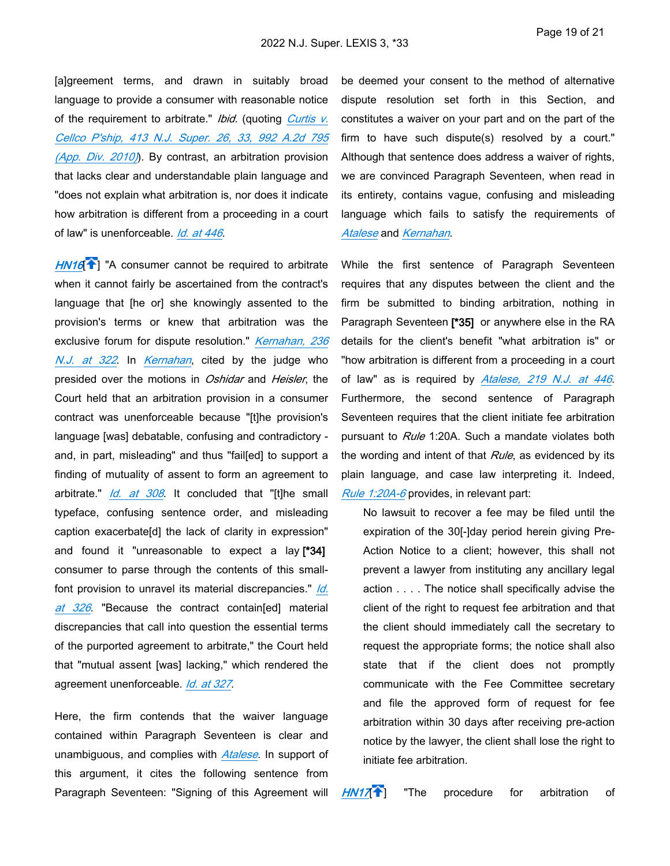[a]greement terms, and drawn in suitably broad language to provide a consumer with reasonable notice of the requirement to arbitrate." *Ibid.* (quoting *[Curtis v.](https://advance.lexis.com/api/document?collection=cases&id=urn:contentItem:7Y8M-XBD0-YB0S-R000-00000-00&context=1000516)  [Cellco P'ship, 413 N.J. Super. 26, 33, 992 A.2d 795](https://advance.lexis.com/api/document?collection=cases&id=urn:contentItem:7Y8M-XBD0-YB0S-R000-00000-00&context=1000516)  [\(App. Div. 2010\)](https://advance.lexis.com/api/document?collection=cases&id=urn:contentItem:7Y8M-XBD0-YB0S-R000-00000-00&context=1000516)*). By contrast, an arbitration provision that lacks clear and understandable plain language and "does not explain what arbitration is, nor does it indicate how arbitration is different from a proceeding in a court of law" is unenforceable. *[Id. at 446](https://advance.lexis.com/api/document?collection=cases&id=urn:contentItem:5D6K-NRP1-F04H-V33J-00000-00&context=1000516)*.

<span id="page-28-0"></span>[HN16](https://advance.lexis.com/api/document?collection=cases&id=urn:contentItem:64HR-WCK1-DYMS-60VY-00000-00&context=1000516&link=clscc16)<sup>7</sup>] "A consumer cannot be required to arbitrate when it cannot fairly be ascertained from the contract's language that [he or] she knowingly assented to the provision's terms or knew that arbitration was the exclusive forum for dispute resolution." *[Kernahan, 236](https://advance.lexis.com/api/document?collection=cases&id=urn:contentItem:5V5C-X311-F06F-215X-00000-00&context=1000516)  [N.J. at 322](https://advance.lexis.com/api/document?collection=cases&id=urn:contentItem:5V5C-X311-F06F-215X-00000-00&context=1000516)*. In *[Kernahan](https://advance.lexis.com/api/document?collection=cases&id=urn:contentItem:5V5C-X311-F06F-215X-00000-00&context=1000516)*, cited by the judge who presided over the motions in *Oshidar* and *Heisler*, the Court held that an arbitration provision in a consumer contract was unenforceable because "[t]he provision's language [was] debatable, confusing and contradictory and, in part, misleading" and thus "fail[ed] to support a finding of mutuality of assent to form an agreement to arbitrate." *[Id. at 308](https://advance.lexis.com/api/document?collection=cases&id=urn:contentItem:5V5C-X311-F06F-215X-00000-00&context=1000516)*. It concluded that "[t]he small typeface, confusing sentence order, and misleading caption exacerbate[d] the lack of clarity in expression" and found it "unreasonable to expect a lay **[\*34]**  consumer to parse through the contents of this smallfont provision to unravel its material discrepancies." *[Id.](https://advance.lexis.com/api/document?collection=cases&id=urn:contentItem:5V5C-X311-F06F-215X-00000-00&context=1000516)  [at 326](https://advance.lexis.com/api/document?collection=cases&id=urn:contentItem:5V5C-X311-F06F-215X-00000-00&context=1000516)*. "Because the contract contain[ed] material discrepancies that call into question the essential terms of the purported agreement to arbitrate," the Court held that "mutual assent [was] lacking," which rendered the agreement unenforceable. *[Id. at 327](https://advance.lexis.com/api/document?collection=cases&id=urn:contentItem:5V5C-X311-F06F-215X-00000-00&context=1000516)*.

Here, the firm contends that the waiver language contained within Paragraph Seventeen is clear and unambiguous, and complies with *[Atalese](https://advance.lexis.com/api/document?collection=cases&id=urn:contentItem:5D6K-NRP1-F04H-V33J-00000-00&context=1000516)*. In support of this argument, it cites the following sentence from Paragraph Seventeen: "Signing of this Agreement will

be deemed your consent to the method of alternative dispute resolution set forth in this Section, and constitutes a waiver on your part and on the part of the firm to have such dispute(s) resolved by a court." Although that sentence does address a waiver of rights, we are convinced Paragraph Seventeen, when read in its entirety, contains vague, confusing and misleading language which fails to satisfy the requirements of *[Atalese](https://advance.lexis.com/api/document?collection=cases&id=urn:contentItem:5D6K-NRP1-F04H-V33J-00000-00&context=1000516)* and *[Kernahan](https://advance.lexis.com/api/document?collection=cases&id=urn:contentItem:5V5C-X311-F06F-215X-00000-00&context=1000516)*.

While the first sentence of Paragraph Seventeen requires that any disputes between the client and the firm be submitted to binding arbitration, nothing in Paragraph Seventeen **[\*35]** or anywhere else in the RA details for the client's benefit "what arbitration is" or "how arbitration is different from a proceeding in a court of law" as is required by *[Atalese, 219 N.J. at 446](https://advance.lexis.com/api/document?collection=cases&id=urn:contentItem:5D6K-NRP1-F04H-V33J-00000-00&context=1000516)*. Furthermore, the second sentence of Paragraph Seventeen requires that the client initiate fee arbitration pursuant to *Rule* 1:20A. Such a mandate violates both the wording and intent of that *Rule*, as evidenced by its plain language, and case law interpreting it. Indeed, *[Rule 1:20A-6](https://advance.lexis.com/api/document?collection=statutes-legislation&id=urn:contentItem:63TW-8CF1-DYB7-W103-00000-00&context=1000516)* provides, in relevant part:

<span id="page-28-1"></span>No lawsuit to recover a fee may be filed until the expiration of the 30[-]day period herein giving Pre-Action Notice to a client; however, this shall not prevent a lawyer from instituting any ancillary legal action . . . . The notice shall specifically advise the client of the right to request fee arbitration and that the client should immediately call the secretary to request the appropriate forms; the notice shall also state that if the client does not promptly communicate with the Fee Committee secretary and file the approved form of request for fee arbitration within 30 days after receiving pre-action notice by the lawyer, the client shall lose the right to initiate fee arbitration.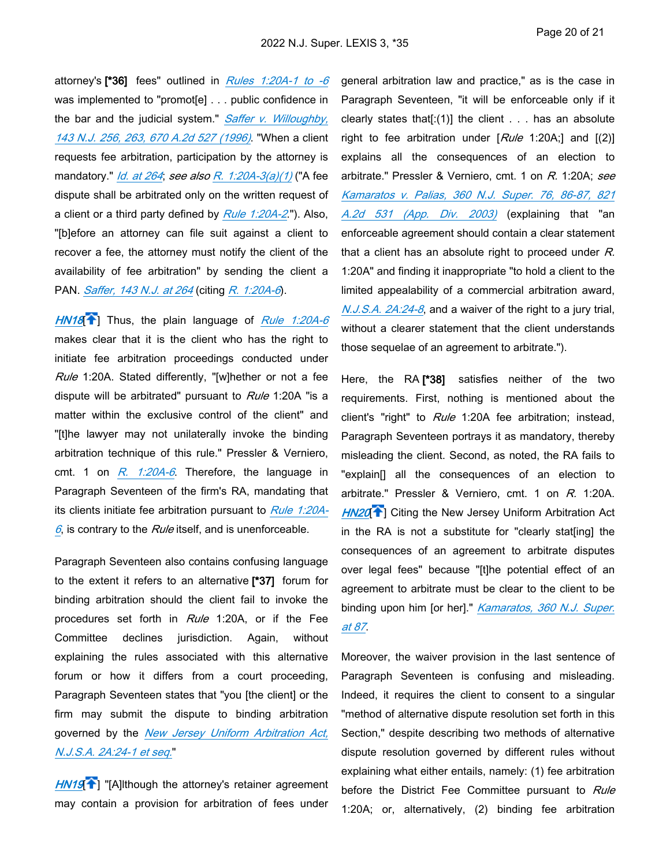attorney's **[\*36]** fees" outlined in *[Rules 1:20A-1 to -6](https://advance.lexis.com/api/document?collection=statutes-legislation&id=urn:contentItem:63TW-8CF1-DYB7-W0YX-00000-00&context=1000516)* was implemented to "promot[e] . . . public confidence in the bar and the judicial system." *[Saffer v. Willoughby,](https://advance.lexis.com/api/document?collection=cases&id=urn:contentItem:3S3J-VD00-003C-P1C7-00000-00&context=1000516)  [143 N.J. 256, 263, 670 A.2d 527 \(1996\)](https://advance.lexis.com/api/document?collection=cases&id=urn:contentItem:3S3J-VD00-003C-P1C7-00000-00&context=1000516)*. "When a client requests fee arbitration, participation by the attorney is mandatory." *[Id. at 264](https://advance.lexis.com/api/document?collection=cases&id=urn:contentItem:3S3J-VD00-003C-P1C7-00000-00&context=1000516)*; *see also [R. 1:20A-3\(a\)\(1\)](https://advance.lexis.com/api/document?collection=statutes-legislation&id=urn:contentItem:63TW-8CF1-DYB7-W100-00000-00&context=1000516)* ("A fee dispute shall be arbitrated only on the written request of a client or a third party defined by *[Rule 1:20A-2](https://advance.lexis.com/api/document?collection=statutes-legislation&id=urn:contentItem:63TW-8CF1-DYB7-W0YY-00000-00&context=1000516)*."). Also, "[b]efore an attorney can file suit against a client to recover a fee, the attorney must notify the client of the availability of fee arbitration" by sending the client a PAN. *[Saffer, 143 N.J. at 264](https://advance.lexis.com/api/document?collection=cases&id=urn:contentItem:3S3J-VD00-003C-P1C7-00000-00&context=1000516)* (citing *[R. 1:20A-6](https://advance.lexis.com/api/document?collection=statutes-legislation&id=urn:contentItem:63TW-8CF1-DYB7-W103-00000-00&context=1000516)*).

<span id="page-29-0"></span>*[HN18](https://advance.lexis.com/api/document?collection=cases&id=urn:contentItem:64HR-WCK1-DYMS-60VY-00000-00&context=1000516&link=clscc18)*[ ] Thus, the plain language of *[Rule 1:20A-6](https://advance.lexis.com/api/document?collection=statutes-legislation&id=urn:contentItem:63TW-8CF1-DYB7-W103-00000-00&context=1000516)* makes clear that it is the client who has the right to initiate fee arbitration proceedings conducted under *Rule* 1:20A. Stated differently, "[w]hether or not a fee dispute will be arbitrated" pursuant to *Rule* 1:20A "is a matter within the exclusive control of the client" and "[t]he lawyer may not unilaterally invoke the binding arbitration technique of this rule." Pressler & Verniero, cmt. 1 on *[R. 1:20A-6](https://advance.lexis.com/api/document?collection=statutes-legislation&id=urn:contentItem:63TW-8CF1-DYB7-W103-00000-00&context=1000516)*. Therefore, the language in Paragraph Seventeen of the firm's RA, mandating that its clients initiate fee arbitration pursuant to *[Rule 1:20A-](https://advance.lexis.com/api/document?collection=statutes-legislation&id=urn:contentItem:63TW-8CF1-DYB7-W103-00000-00&context=1000516)[6](https://advance.lexis.com/api/document?collection=statutes-legislation&id=urn:contentItem:63TW-8CF1-DYB7-W103-00000-00&context=1000516)*, is contrary to the *Rule* itself, and is unenforceable.  $M$ 18<br>ake:<br>iiate:<br>iiate:<br>put atte:<br>he bitra clie is c<br>rag the:<br>put and in polai<br>um rag n<br>ver:<br> $\frac{J.S.}{M}$ ↑ c f l:2 v M axio appts are exampled and the properties of a contract and the contract of a contract of a contract of a contract of a contract of a contract of a contract of a contract of a contract of a contract of a co

Paragraph Seventeen also contains confusing language to the extent it refers to an alternative **[\*37]** forum for binding arbitration should the client fail to invoke the procedures set forth in *Rule* 1:20A, or if the Fee Committee declines jurisdiction. Again, without explaining the rules associated with this alternative forum or how it differs from a court proceeding, Paragraph Seventeen states that "you [the client] or the firm may submit the dispute to binding arbitration governed by the *[New Jersey Uniform Arbitration Act,](https://advance.lexis.com/api/document?collection=statutes-legislation&id=urn:contentItem:5F0Y-BKK1-6F13-0429-00000-00&context=1000516)  [N.J.S.A. 2A:24-1 et seq.](https://advance.lexis.com/api/document?collection=statutes-legislation&id=urn:contentItem:5F0Y-BKK1-6F13-0429-00000-00&context=1000516)*"

<span id="page-29-1"></span>*HN19*<sup>2</sup>] "[A]lthough the attorney's retainer agreement may contain a provision for arbitration of fees under

general arbitration law and practice," as is the case in Paragraph Seventeen, "it will be enforceable only if it clearly states that  $[:(1)]$  the client  $\ldots$  has an absolute right to fee arbitration under [*Rule* 1:20A;] and [(2)] explains all the consequences of an election to arbitrate." Pressler & Verniero, cmt. 1 on *R.* 1:20A; *see [Kamaratos v. Palias, 360 N.J. Super. 76, 86-87, 821](https://advance.lexis.com/api/document?collection=cases&id=urn:contentItem:48HY-BBT0-0039-4331-00000-00&context=1000516)  [A.2d 531 \(App. Div. 2003\)](https://advance.lexis.com/api/document?collection=cases&id=urn:contentItem:48HY-BBT0-0039-4331-00000-00&context=1000516)* (explaining that "an enforceable agreement should contain a clear statement that a client has an absolute right to proceed under *R.* 1:20A" and finding it inappropriate "to hold a client to the limited appealability of a commercial arbitration award, *[N.J.S.A. 2A:24-8](https://advance.lexis.com/api/document?collection=statutes-legislation&id=urn:contentItem:5F0Y-BKK1-6F13-042K-00000-00&context=1000516)*, and a waiver of the right to a jury trial, without a clearer statement that the client understands those sequelae of an agreement to arbitrate.").

<span id="page-29-2"></span>Here, the RA **[\*38]** satisfies neither of the two requirements. First, nothing is mentioned about the client's "right" to *Rule* 1:20A fee arbitration; instead, Paragraph Seventeen portrays it as mandatory, thereby misleading the client. Second, as noted, the RA fails to "explain[] all the consequences of an election to arbitrate." Pressler & Verniero, cmt. 1 on *R.* 1:20A. [HN20](https://advance.lexis.com/api/document?collection=cases&id=urn:contentItem:64HR-WCK1-DYMS-60VY-00000-00&context=1000516&link=clscc20)<sup><sup>2</sup></sup>] Citing the New Jersey Uniform Arbitration Act in the RA is not a substitute for "clearly stat[ing] the consequences of an agreement to arbitrate disputes over legal fees" because "[t]he potential effect of an agreement to arbitrate must be clear to the client to be binding upon him [or her]." *[Kamaratos, 360 N.J. Super.](https://advance.lexis.com/api/document?collection=cases&id=urn:contentItem:48HY-BBT0-0039-4331-00000-00&context=1000516)  [at 87](https://advance.lexis.com/api/document?collection=cases&id=urn:contentItem:48HY-BBT0-0039-4331-00000-00&context=1000516)*.

Moreover, the waiver provision in the last sentence of Paragraph Seventeen is confusing and misleading. Indeed, it requires the client to consent to a singular "method of alternative dispute resolution set forth in this Section," despite describing two methods of alternative dispute resolution governed by different rules without explaining what either entails, namely: (1) fee arbitration before the District Fee Committee pursuant to *Rule* 1:20A; or, alternatively, (2) binding fee arbitration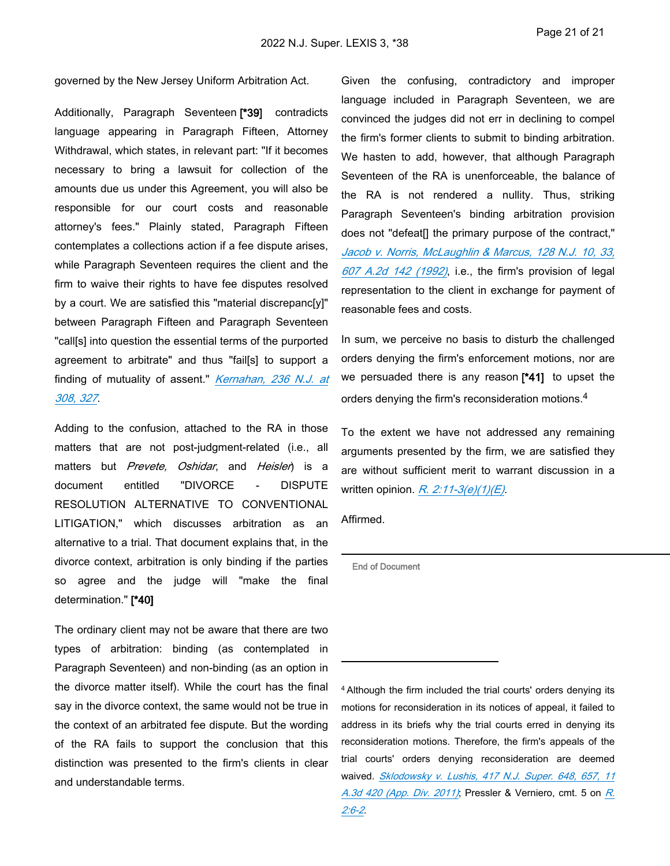governed by the New Jersey Uniform Arbitration Act.

Additionally, Paragraph Seventeen **[\*39]** contradicts language appearing in Paragraph Fifteen, Attorney Withdrawal, which states, in relevant part: "If it becomes necessary to bring a lawsuit for collection of the amounts due us under this Agreement, you will also be responsible for our court costs and reasonable attorney's fees." Plainly stated, Paragraph Fifteen contemplates a collections action if a fee dispute arises, while Paragraph Seventeen requires the client and the firm to waive their rights to have fee disputes resolved by a court. We are satisfied this "material discrepanc[y]" between Paragraph Fifteen and Paragraph Seventeen "call[s] into question the essential terms of the purported agreement to arbitrate" and thus "fail[s] to support a finding of mutuality of assent." *[Kernahan, 236 N.J. at](https://advance.lexis.com/api/document?collection=cases&id=urn:contentItem:5V5C-X311-F06F-215X-00000-00&context=1000516)  [308, 327](https://advance.lexis.com/api/document?collection=cases&id=urn:contentItem:5V5C-X311-F06F-215X-00000-00&context=1000516)*.

Adding to the confusion, attached to the RA in those matters that are not post-judgment-related (i.e., all matters but *Prevete, Oshidar*, and *Heisler*) is a document entitled "DIVORCE - DISPUTE RESOLUTION ALTERNATIVE TO CONVENTIONAL LITIGATION," which discusses arbitration as an alternative to a trial. That document explains that, in the divorce context, arbitration is only binding if the parties so agree and the judge will "make the final determination." **[\*40]** 

The ordinary client may not be aware that there are two types of arbitration: binding (as contemplated in Paragraph Seventeen) and non-binding (as an option in the divorce matter itself). While the court has the final say in the divorce context, the same would not be true in the context of an arbitrated fee dispute. But the wording of the RA fails to support the conclusion that this distinction was presented to the firm's clients in clear and understandable terms.

Given the confusing, contradictory and improper language included in Paragraph Seventeen, we are convinced the judges did not err in declining to compel the firm's former clients to submit to binding arbitration. We hasten to add, however, that although Paragraph Seventeen of the RA is unenforceable, the balance of the RA is not rendered a nullity. Thus, striking Paragraph Seventeen's binding arbitration provision does not "defeat[] the primary purpose of the contract," *[Jacob v. Norris, McLaughlin & Marcus, 128 N.J. 10, 33,](https://advance.lexis.com/api/document?collection=cases&id=urn:contentItem:3S3J-VMW0-003C-P2T3-00000-00&context=1000516)  [607 A.2d 142 \(1992\)](https://advance.lexis.com/api/document?collection=cases&id=urn:contentItem:3S3J-VMW0-003C-P2T3-00000-00&context=1000516)*, i.e., the firm's provision of legal representation to the client in exchange for payment of reasonable fees and costs.

In sum, we perceive no basis to disturb the challenged orders denying the firm's enforcement motions, nor are we persuaded there is any reason **[\*41]** to upset the orders denying the firm's reconsideration motions.<sup>4</sup>

To the extent we have not addressed any remaining arguments presented by the firm, we are satisfied they are without sufficient merit to warrant discussion in a written opinion. *[R. 2:11-3\(e\)\(1\)\(E\)](https://advance.lexis.com/api/document?collection=statutes-legislation&id=urn:contentItem:63TW-8CF1-DYB7-W1DW-00000-00&context=1000516)*.

Affirmed.

**End of Document**

<sup>4</sup>Although the firm included the trial courts' orders denying its motions for reconsideration in its notices of appeal, it failed to address in its briefs why the trial courts erred in denying its reconsideration motions. Therefore, the firm's appeals of the trial courts' orders denying reconsideration are deemed waived. *[Sklodowsky v. Lushis, 417 N.J. Super. 648, 657, 11](https://advance.lexis.com/api/document?collection=cases&id=urn:contentItem:5236-CTS1-652N-900H-00000-00&context=1000516)  [A.3d 420 \(App. Div. 2011\)](https://advance.lexis.com/api/document?collection=cases&id=urn:contentItem:5236-CTS1-652N-900H-00000-00&context=1000516)*; Pressler & Verniero, cmt. 5 on *[R.](https://advance.lexis.com/api/document?collection=statutes-legislation&id=urn:contentItem:63TW-8CF1-DYB7-W1CF-00000-00&context=1000516)  [2:6-2](https://advance.lexis.com/api/document?collection=statutes-legislation&id=urn:contentItem:63TW-8CF1-DYB7-W1CF-00000-00&context=1000516)*.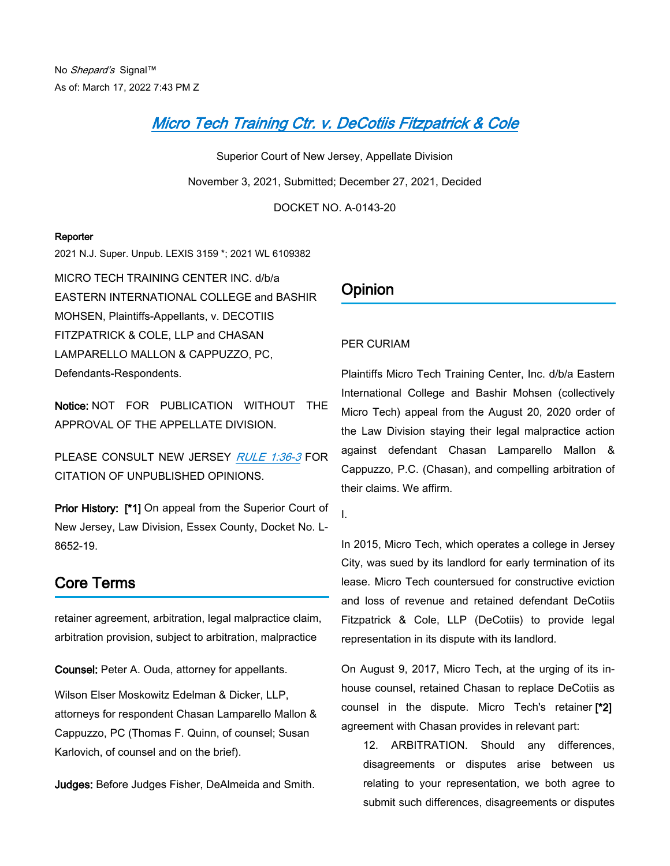## *[Micro Tech Training Ctr. v. DeCotiis Fitzpatrick & Cole](https://advance.lexis.com/api/document?collection=cases&id=urn:contentItem:64D8-K2V1-JK4W-M12J-00000-00&context=1000516)*

Superior Court of New Jersey, Appellate Division November 3, 2021, Submitted; December 27, 2021, Decided

DOCKET NO. A-0143-20

#### **Reporter**

2021 N.J. Super. Unpub. LEXIS 3159 \*; 2021 WL 6109382

MICRO TECH TRAINING CENTER INC. d/b/a EASTERN INTERNATIONAL COLLEGE and BASHIR MOHSEN, Plaintiffs-Appellants, v. DECOTIIS FITZPATRICK & COLE, LLP and CHASAN LAMPARELLO MALLON & CAPPUZZO, PC, Defendants-Respondents.

**Notice:** NOT FOR PUBLICATION WITHOUT THE APPROVAL OF THE APPELLATE DIVISION.

PLEASE CONSULT NEW JERSEY *[RULE 1:36-3](https://advance.lexis.com/api/document?collection=statutes-legislation&id=urn:contentItem:63TW-8CF1-DYB7-W185-00000-00&context=1000516)* FOR CITATION OF UNPUBLISHED OPINIONS.

**Prior History: [\*1]** On appeal from the Superior Court of New Jersey, Law Division, Essex County, Docket No. L-8652-19.

## **Core Terms**

retainer agreement, arbitration, legal malpractice claim, arbitration provision, subject to arbitration, malpractice

**Counsel:** Peter A. Ouda, attorney for appellants.

Wilson Elser Moskowitz Edelman & Dicker, LLP, attorneys for respondent Chasan Lamparello Mallon & Cappuzzo, PC (Thomas F. Quinn, of counsel; Susan Karlovich, of counsel and on the brief).

**Judges:** Before Judges Fisher, DeAlmeida and Smith.

## **Opinion**

### PER CURIAM

Plaintiffs Micro Tech Training Center, Inc. d/b/a Eastern International College and Bashir Mohsen (collectively Micro Tech) appeal from the August 20, 2020 order of the Law Division staying their legal malpractice action against defendant Chasan Lamparello Mallon & Cappuzzo, P.C. (Chasan), and compelling arbitration of their claims. We affirm.

I.

In 2015, Micro Tech, which operates a college in Jersey City, was sued by its landlord for early termination of its lease. Micro Tech countersued for constructive eviction and loss of revenue and retained defendant DeCotiis Fitzpatrick & Cole, LLP (DeCotiis) to provide legal representation in its dispute with its landlord.

On August 9, 2017, Micro Tech, at the urging of its inhouse counsel, retained Chasan to replace DeCotiis as counsel in the dispute. Micro Tech's retainer **[\*2]**  agreement with Chasan provides in relevant part:

12. ARBITRATION. Should any differences, disagreements or disputes arise between us relating to your representation, we both agree to submit such differences, disagreements or disputes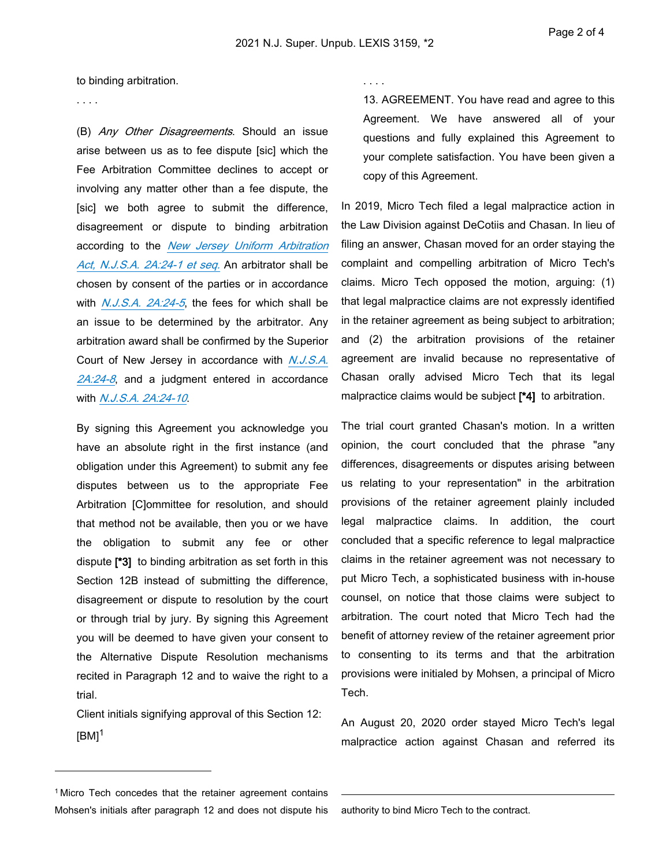to binding arbitration.

. . . .

(B) *Any Other Disagreements*. Should an issue arise between us as to fee dispute [sic] which the Fee Arbitration Committee declines to accept or involving any matter other than a fee dispute, the [sic] we both agree to submit the difference, disagreement or dispute to binding arbitration according to the *[New Jersey Uniform Arbitration](https://advance.lexis.com/api/document?collection=statutes-legislation&id=urn:contentItem:5F0Y-BKK1-6F13-0429-00000-00&context=1000516)  [Act, N.J.S.A. 2A:24-1 et seq.](https://advance.lexis.com/api/document?collection=statutes-legislation&id=urn:contentItem:5F0Y-BKK1-6F13-0429-00000-00&context=1000516)* An arbitrator shall be chosen by consent of the parties or in accordance with *[N.J.S.A. 2A:24-5](https://advance.lexis.com/api/document?collection=statutes-legislation&id=urn:contentItem:5F0Y-BKK1-6F13-042G-00000-00&context=1000516)*, the fees for which shall be an issue to be determined by the arbitrator. Any arbitration award shall be confirmed by the Superior Court of New Jersey in accordance with *[N.J.S.A.](https://advance.lexis.com/api/document?collection=statutes-legislation&id=urn:contentItem:5F0Y-BKK1-6F13-042K-00000-00&context=1000516)  [2A:24-8](https://advance.lexis.com/api/document?collection=statutes-legislation&id=urn:contentItem:5F0Y-BKK1-6F13-042K-00000-00&context=1000516)*, and a judgment entered in accordance with *[N.J.S.A. 2A:24-10](https://advance.lexis.com/api/document?collection=statutes-legislation&id=urn:contentItem:5F0Y-BKK1-6F13-042N-00000-00&context=1000516)*.

By signing this Agreement you acknowledge you have an absolute right in the first instance (and obligation under this Agreement) to submit any fee disputes between us to the appropriate Fee Arbitration [C]ommittee for resolution, and should that method not be available, then you or we have the obligation to submit any fee or other dispute **[\*3]** to binding arbitration as set forth in this Section 12B instead of submitting the difference, disagreement or dispute to resolution by the court or through trial by jury. By signing this Agreement you will be deemed to have given your consent to the Alternative Dispute Resolution mechanisms recited in Paragraph 12 and to waive the right to a trial.

Client initials signifying approval of this Section 12:  $[BM]$ <sup>1</sup>

. . . .

13. AGREEMENT. You have read and agree to this Agreement. We have answered all of your questions and fully explained this Agreement to your complete satisfaction. You have been given a copy of this Agreement.

In 2019, Micro Tech filed a legal malpractice action in the Law Division against DeCotiis and Chasan. In lieu of filing an answer, Chasan moved for an order staying the complaint and compelling arbitration of Micro Tech's claims. Micro Tech opposed the motion, arguing: (1) that legal malpractice claims are not expressly identified in the retainer agreement as being subject to arbitration; and (2) the arbitration provisions of the retainer agreement are invalid because no representative of Chasan orally advised Micro Tech that its legal malpractice claims would be subject **[\*4]** to arbitration.

The trial court granted Chasan's motion. In a written opinion, the court concluded that the phrase "any differences, disagreements or disputes arising between us relating to your representation" in the arbitration provisions of the retainer agreement plainly included legal malpractice claims. In addition, the court concluded that a specific reference to legal malpractice claims in the retainer agreement was not necessary to put Micro Tech, a sophisticated business with in-house counsel, on notice that those claims were subject to arbitration. The court noted that Micro Tech had the benefit of attorney review of the retainer agreement prior to consenting to its terms and that the arbitration provisions were initialed by Mohsen, a principal of Micro Tech.

An August 20, 2020 order stayed Micro Tech's legal malpractice action against Chasan and referred its

<sup>&</sup>lt;sup>1</sup> Micro Tech concedes that the retainer agreement contains Mohsen's initials after paragraph 12 and does not dispute his

authority to bind Micro Tech to the contract.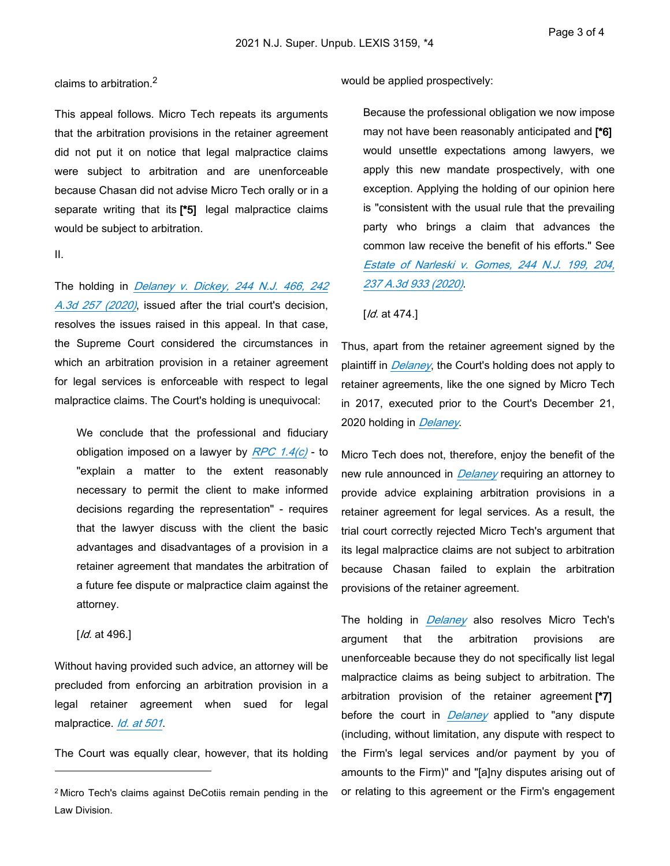#### claims to arbitration.<sup>2</sup>

This appeal follows. Micro Tech repeats its arguments that the arbitration provisions in the retainer agreement did not put it on notice that legal malpractice claims were subject to arbitration and are unenforceable because Chasan did not advise Micro Tech orally or in a separate writing that its **[\*5]** legal malpractice claims would be subject to arbitration.

#### II.

The holding in *[Delaney v. Dickey, 244 N.J. 466, 242](https://advance.lexis.com/api/document?collection=cases&id=urn:contentItem:61K8-9DS1-FC1F-M2MS-00000-00&context=1000516)  [A.3d 257 \(2020\)](https://advance.lexis.com/api/document?collection=cases&id=urn:contentItem:61K8-9DS1-FC1F-M2MS-00000-00&context=1000516)*, issued after the trial court's decision, resolves the issues raised in this appeal. In that case, the Supreme Court considered the circumstances in which an arbitration provision in a retainer agreement for legal services is enforceable with respect to legal malpractice claims. The Court's holding is unequivocal:

We conclude that the professional and fiduciary obligation imposed on a lawyer by *[RPC 1.4\(c\)](https://advance.lexis.com/api/document?collection=statutes-legislation&id=urn:contentItem:63TW-8CF1-DYB7-W168-00000-00&context=1000516)* - to "explain a matter to the extent reasonably necessary to permit the client to make informed decisions regarding the representation" - requires that the lawyer discuss with the client the basic advantages and disadvantages of a provision in a retainer agreement that mandates the arbitration of a future fee dispute or malpractice claim against the attorney.

[*Id.* at 496.]

Without having provided such advice, an attorney will be precluded from enforcing an arbitration provision in a legal retainer agreement when sued for legal malpractice. *[Id. at 501](https://advance.lexis.com/api/document?collection=cases&id=urn:contentItem:61K8-9DS1-FC1F-M2MS-00000-00&context=1000516)*.

The Court was equally clear, however, that its holding

would be applied prospectively:

Because the professional obligation we now impose may not have been reasonably anticipated and **[\*6]**  would unsettle expectations among lawyers, we apply this new mandate prospectively, with one exception. Applying the holding of our opinion here is "consistent with the usual rule that the prevailing party who brings a claim that advances the common law receive the benefit of his efforts." See *[Estate of Narleski v. Gomes, 244 N.J. 199, 204,](https://advance.lexis.com/api/document?collection=cases&id=urn:contentItem:60W1-2K61-DY89-M1F0-00000-00&context=1000516)  [237 A.3d 933 \(2020\)](https://advance.lexis.com/api/document?collection=cases&id=urn:contentItem:60W1-2K61-DY89-M1F0-00000-00&context=1000516)*.

#### [*Id.* at 474.]

Thus, apart from the retainer agreement signed by the plaintiff in *[Delaney](https://advance.lexis.com/api/document?collection=cases&id=urn:contentItem:61K8-9DS1-FC1F-M2MS-00000-00&context=1000516)*, the Court's holding does not apply to retainer agreements, like the one signed by Micro Tech in 2017, executed prior to the Court's December 21, 2020 holding in *[Delaney](https://advance.lexis.com/api/document?collection=cases&id=urn:contentItem:61K8-9DS1-FC1F-M2MS-00000-00&context=1000516)*.

Micro Tech does not, therefore, enjoy the benefit of the new rule announced in *[Delaney](https://advance.lexis.com/api/document?collection=cases&id=urn:contentItem:61K8-9DS1-FC1F-M2MS-00000-00&context=1000516)* requiring an attorney to provide advice explaining arbitration provisions in a retainer agreement for legal services. As a result, the trial court correctly rejected Micro Tech's argument that its legal malpractice claims are not subject to arbitration because Chasan failed to explain the arbitration provisions of the retainer agreement.

The holding in *[Delaney](https://advance.lexis.com/api/document?collection=cases&id=urn:contentItem:61K8-9DS1-FC1F-M2MS-00000-00&context=1000516)* also resolves Micro Tech's argument that the arbitration provisions are unenforceable because they do not specifically list legal malpractice claims as being subject to arbitration. The arbitration provision of the retainer agreement **[\*7]**  before the court in *[Delaney](https://advance.lexis.com/api/document?collection=cases&id=urn:contentItem:61K8-9DS1-FC1F-M2MS-00000-00&context=1000516)* applied to "any dispute (including, without limitation, any dispute with respect to the Firm's legal services and/or payment by you of amounts to the Firm)" and "[a]ny disputes arising out of or relating to this agreement or the Firm's engagement

<sup>2</sup>Micro Tech's claims against DeCotiis remain pending in the Law Division.